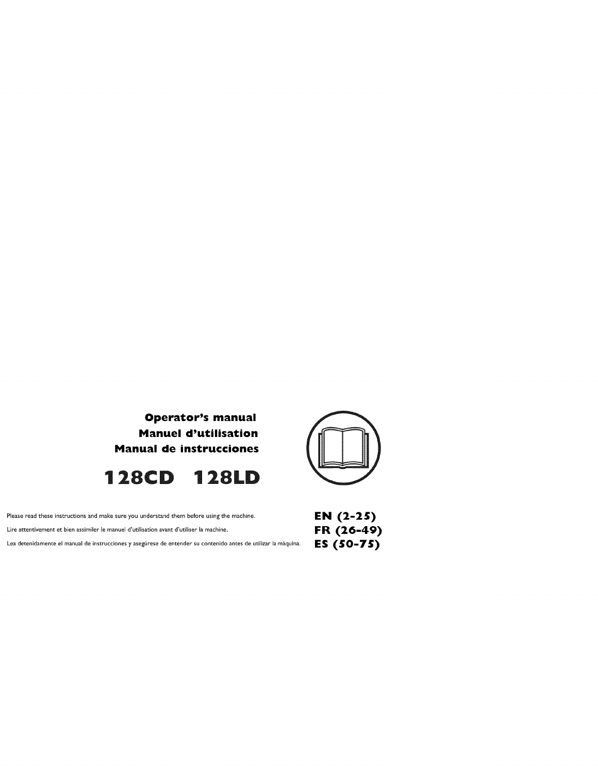





| Please read these instructions and make sure you understand them before using the machine.                      | <b>EN</b> $(2-2)$ |
|-----------------------------------------------------------------------------------------------------------------|-------------------|
| Lire attentivement et bien assimiler le manuel d'utilisation avant d'utiliser la machine.                       | FR (26-           |
| Lea detenidamente el manual de instrucciones y asegúrese de entender su contenido antes de utilizar la máquina. | ES (50-7          |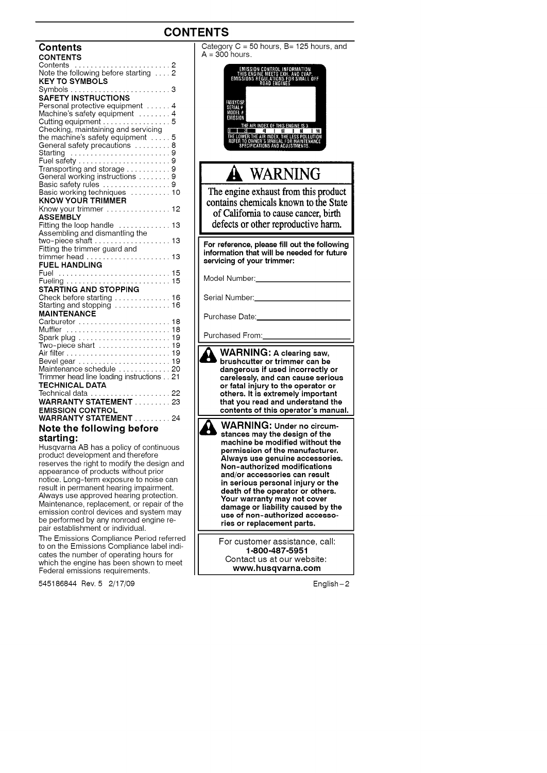### **CONTENTS**

| <b>Contents</b>                                    |    |
|----------------------------------------------------|----|
| <b>CONTENTS</b>                                    |    |
| Contents<br>Note the following before starting     |    |
|                                                    |    |
| <b>KEY TO SYMBOLS</b>                              |    |
|                                                    |    |
| <b>SAFETY INSTRUCTIONS</b>                         |    |
| Personal protective equipment                      | 4  |
|                                                    |    |
| Machine's safety equipment  4<br>Cutting equipment | 5  |
| Checking, maintaining and servicing                |    |
| the machine's safety equipment $\dots$             | 5  |
|                                                    | 8  |
| General safety precautions                         | 9  |
| Starting                                           |    |
|                                                    |    |
| Transporting and storage $\ldots \ldots \ldots$    | 9  |
| General working instructions  9                    |    |
|                                                    |    |
|                                                    |    |
| <b>KNOW YOUR TRIMMER</b>                           |    |
| Know your trimmer 12                               |    |
| <b>ASSEMBLY</b>                                    |    |
| Fitting the loop handle  13                        |    |
| Assembling and dismantling the                     |    |
|                                                    |    |
| Fitting the trimmer guard and                      |    |
|                                                    |    |
| <b>FUEL HANDLING</b>                               |    |
| Fuel  15                                           |    |
|                                                    |    |
| STARTING AND STOPPING                              |    |
| Check before starting 16                           |    |
| Starting and stopping  16                          |    |
| <b>MAINTENANCE</b>                                 |    |
|                                                    |    |
| Muffler                                            |    |
| Spark plug  19                                     |    |
| Two-piece shart                                    | 19 |
|                                                    | 19 |
| Bevel gear                                         | 19 |
| Maintenance schedule                               | 20 |
| Trimmer head line loading instructions             | 21 |
| <b>TECHNICAL DATA</b>                              |    |
|                                                    |    |
|                                                    |    |
|                                                    |    |
| <b>EMISSION CONTROL</b>                            |    |
| WARRANTY STATEMENT  24                             |    |
| Note the following before                          |    |

#### **starting:**

Husqvarna AB has a policy of continuous product development and therefore reserves the right to modify the design and appearance of products without prior notice. Long-term exposure to noise can result in permanent hearing impairment. Always use approved hearing protection. Maintenance, replacement, or repair of the emission control devices and system mat be performed by any nonroad engine repair establishment or individual.

The Emissions Compliance Period referred to on the Emissions Compliance label indicates the number of operating hours for which the engine has been shown to meet Federal emissions requirements.

545186844 Rev. 5 2/17/09 English-2

 $A = 300$  hours. IKNATION<br>AND EVAP.<br>R SMALL OFF THIS ENG<br>Emissions <u>air Index of This engine IS 3.</u><br>And and all all all al WARNING The engine exhaust from this product contains chemicals known to the State of California to cause cancer, birth defects or other reproductive harm. **For reference, please fill out the following information that will be needed for future servicing of your trimmer:** Model Number: Serial Number: Purchase Date: Purchased From: **WARNING: A clearing**saw, **bruahcutter or trimmer can be dangerous if used incorrectly or carelessly, and can cause serious or fatal injury to the operator or others. It is extremely important that you read and understand the contents of this operator's manual.** ¥ **WARNING: Under no circum-stances may the design of the machine be modified without the permission of the manufacturer. Always use genuine accessories. Non-authorized modifications and/or accessories can result in serious personal injury or the death of the operator or others. Your warranty may not cover damage or liability caused by the use of non-authorized accessories or replacement parts.** For customer assistance, call: 1-800-487-5951 Contact us at our website: **www, husqvarna,oom**

Category C = 50 hours, B= 125 hours, and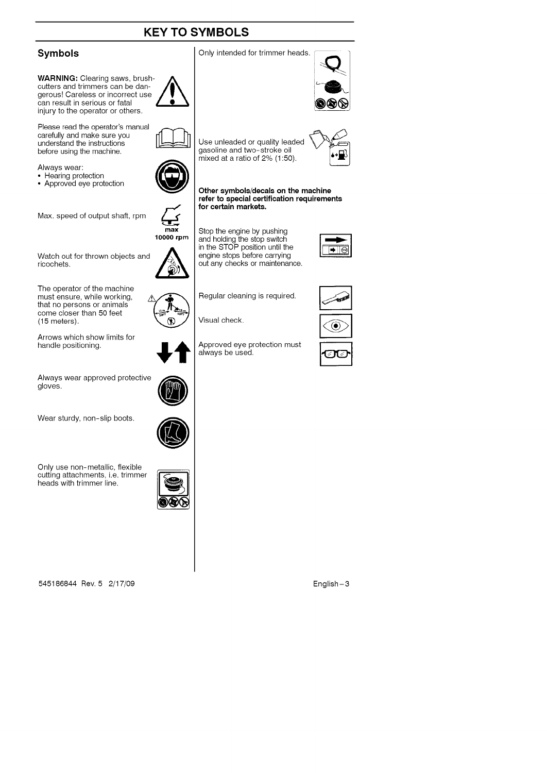### **KEY TO SYMBOLS**



**WARNING:** Clearing saws, brushcutters and trimmers can be dan- **/|\_** gerous! Careless or incorrect use can result in serious or fatal injury to the operator or others.

Please read the operator's manual carefully and make sure you understand the instructions before using the machine.

Always wear:

- Hearing protection
- Approved eye protection  $\blacksquare$

Max. speed of output shaft, rpm

Watch out for thrown objects and  $M_{\rm F}$  for the  $\sim$ 

The operator of the machine must ensure, while working, that no persons or animals come closer than 50 feet (15 meters).

Arrows which show limits for handle positioning.

Always wear approved protective<br>gloves.

Wear sturdy, non-slip boots.

heads with trimmer line.

Only use non-metallic, flexible cutting attachments, i.e. trimmer



**max** 10000 **rprn**

(@)

545186844 Rev. 5 2/17/09 English-3





**Other symbols/decals on the machine refer to special certification requirements for certain markets.**

Stop the engine by pushing and holding the stop switch in the STOP position until the engine stops before carrying out any checks or maintenance.

Regular cleaning is required.

Approved eye protection must

Visual check.

always be used.

gasoline and two-stroke oil mixed at a ratio of 2% (1:50).









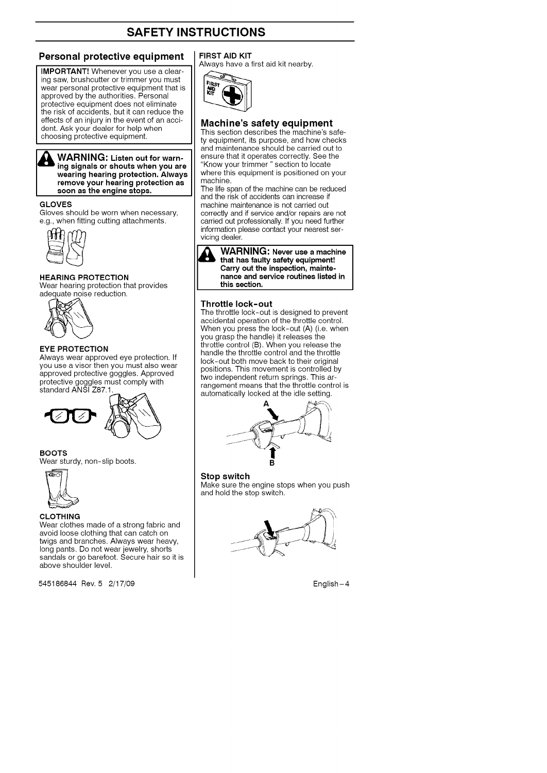#### **Personal protective equipment**

**IMPORTANT!** Whenever you use a clearing saw, brushcutter or trimmer you must wear personal protective equipment that is approved by the authorities. Personal protective equipment does not eliminate the risk of accidents, but it can reduce the effects of an injury in the event of an accident. Ask your dealer for help when choosing protective equipment.

WARNING: **Listen out** for **warn-ing signals or shouts when you are wearing hearing protection. Always remove your hearing protection as soon as the engine stops.**

#### **GLOVES**

Gloves should be worn when necessary, e.g., when fitting cutting attachments.



#### HEARING PROTECTION

Wear hearing protection that provides adequate noise reduction.



#### **EYE PROTECTION**

Always wear approved eye protection. If you use a visor then you must also wear approved protective goggles. Approved protective goggles must comply with standard ANSI Z87.1.



#### **BOOTS**

Wear sturdy, non-slip boots.



#### CLOTHING

Wear clothes made of a strong fabric and avoid loose clothing that can catch on twigs and branches. Always wear heavy, long pants. Do not wear jewelry, shorts sandals or go barefoot. Secure hair so **it is** above shoulder level.

545186844 Rev. 5 2/17/09 English-4

#### **FIRST AID** KIT

Always have a first aid kit nearby.



#### **Machine's safety equipment**

This section describes the machine's safety equipment, its purpose, and how checks and maintenance should be carried out to ensure that it operates correctly. See the "Know your trimmer" section to locate where this equipment is positioned on you machine.

The life span of the machine can be reduced and the risk of accidents can increase if machine maintenance is not carried out correctly and if service and/or repairs are not carried out professionally. If you need further information please contact your nearest servicing dealer.



#### **Throttle lock-out**

The throttle lock-out is designed to prevent accidental operation of the throttle control. When you press the lock-out (A) (i.e. when you grasp the handle) it releases the throttle control (B). When you release the handle the throttle control and the throttle lock-out both move back to their original positions. This movement is controlled by two independent return springs. This arrangement means that the throttle control is automatically locked at the idle setting.



**Stop switch** Make sure the engine stops when you push and hold the stop switch.

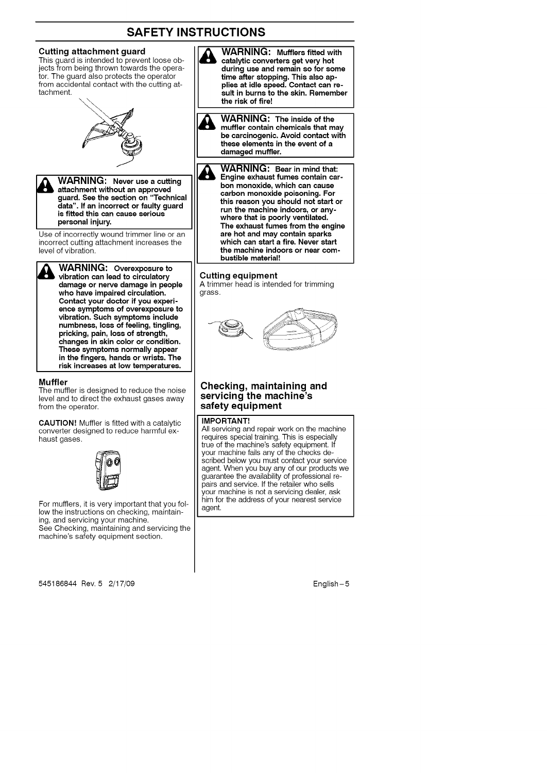#### Cutting **attachment guard**

This guard is intended to prevent loose objects from being thrown towards the operator. The guard also protects the operator from accidental contact with the cutting attachment.



**WARNING:** Never use a cutting **attachment without an approved guard. See the** section **on** "Technical **data". If an incorrect or faulty guard** \_ **ARNING: Never use a cutting is fitted this can cause serious personal injury.**

Use of incorrectly wound trimmer line or an incorrect cutting attachment increases the level of vibration.

**WARNING: Overexposure to vibration can lead to circulatory damage or nerve damage in people who have impaired circulation. Contact your doctor if you experienca symptoms of overexposure to vibration. Such symptoms include numbness, loss of feeling, tingling, pricking, pain, loss of strength, changes in skin color or condition. These symptoms normally appear in the fingers, hands or wrists. The risk increases at low temperatures.**

#### **Muffler**

The muffler is designed to reduce the noise level and to direct the exhaust gases away from the operator.

**CAUTION!** Muffler is fitted with a catalytic converter designed to reduce harmful exhaust gases.



For mufflers, it is very important that you follow the instructions on checking, maintaining, and servicing your machine. See Checking, maintaining and servicing the machine's safety equipment section.

545186844 Rev. 5 2/17/09 English-5

& **WARNING: Mufflers** fitted **with catalytic converters get very hot during use and remain** so **for some time after stopping. This also applies at idle speed. Contact can result in burns to the skin. Remember the risk of fire!**

& **WARNING: The inside of the muffler contain chemicals that may be carcinogenic. Avoid contact with these elements in the event of a damaged muffler.**

**M WARNING: Bear in mind that: Engine exhaust fumes contain carbon monoxide, which can cause carbon monoxide poisoning. For this reason you should not** start **or run the machine indoors, or anywhere that is poorly ventilated. The exhaust fumes from the engine are hot and may** contain **sparks which can start a fire. Never start the machine indoors or near combustible material!**

#### **Cutting equipment**

A trimmer head is intended for trimming grass.



#### **Checking, maintaining and servicing the machine's safety equipment**

#### **IMPORTANT!**

All servicing and repair work on the machine requires special training. This is especiall true of the machine's safety equipment. If your machine fails any of the checks described below you must contact your service agent. When you buy any of our products we guarantee the availability of professional repairs and service. If the retailer who sells your machine is not a servicing dealer, ask him for the address of your nearest service agent.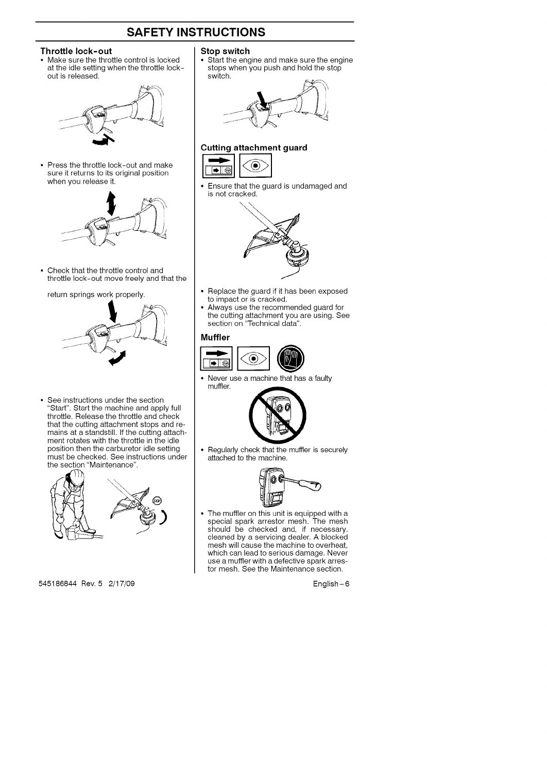#### **Throttle lock-out**

• Make sure the throttle control is locked at the idle setting when the throttle lockout is released.



• Press the throttle lock-out and make sure it returns to its original position when you release it.



• Check that the throttle control and throttle lock-out move freely and that the

#### return springs work properly.



See instructions under the section "Start". Start the machine and apply full throttle. Release the throttle and check that the cutting attachment stops and remains at a standstill. If the cutting attach ment rotates with the throttle in the idle position then the carburetor idle setting must be checked. See instructions under the section "Maintenance".



545186844 Rev. 5 2/17/09 English-6

#### **Stop switch**

Start the engine and make sure the engine stops when you push and hold the stop switch.



### **Cutting attachment guard** ◉



• Ensure that the guard is undamaged and is not cracked.



- Replace the guard if it has been exposed to impact or is cracked.
- Always use the recommended guard for the cutting attachment you are using. See section on "Technical data".

#### **Muffler**



• Never use a machine that has a faulty muffler.



 $\bullet$  Regularly check that the muffler is securely attached to the machine.



The muffler on this unit is equipped with a special spark arrestor mesh. The mes<br>should be checked and, if necessary cleaned by a servicing dealer. A blocke<br>mesh will cause the machine to overhea which can lead to serious damage. Never use a muffler with a defective spark arrestor mesh. See the Maintenance section.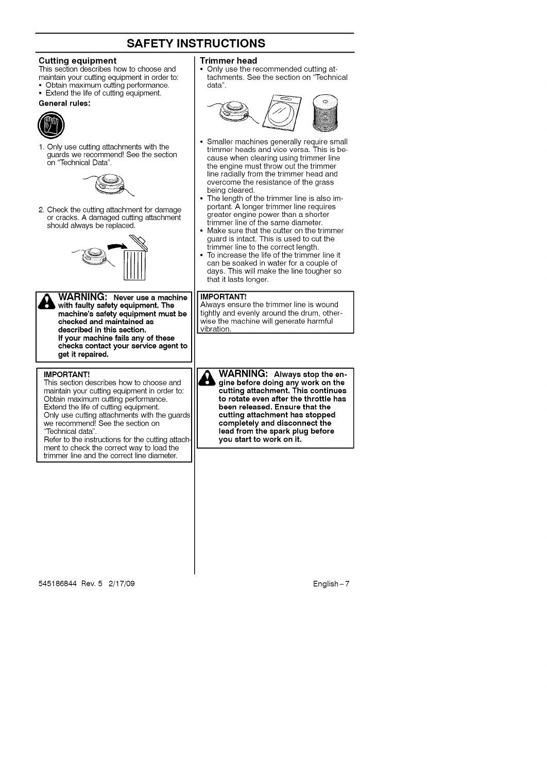#### **Cutting equipment**

- This section describes how to choose and
- maintain your cutting equipment in order to: • Obtain maximum cutting performance.
- Extend the life of cutting equipment.
- **General rules:**



1. Only use cutting attachments with the guards we recommend! See the section on "Technical Data".



2. Check the cutting attachment for damage or cracks. A damaged cutting attachment should always be replaced.



**WARNING: Never use a machine with faulty** safety **equipment. The machine's safety equipment must be checked and maintained as described in this section. If your machine fails any of these checks contact your service agent to get t repa red,**

#### **IMPORTANT!**

This section describes how to choose and maintain your cutting equipment in order to: Obtain maximum cutting performance. Extend the life of cutting equipment. Only use cutting attachments with the guards we recommend! See the section on "Technical data".

Refer to the instructions for the cutting attach ment to check the correct way to load the trimmer line and the correct line diameter.

#### **Trimmer head**

• Only use the recommended cutting attachments. See the section on "Technical data".



- Smaller machines generally require small trimmer heads and vice versa. This is because when clearing using trimmer line the engine must throw out the trimmer line radially from the trimmer head and overcome the resistance of the grass being cleared.
- The length of the trimmer line is also important. A longer trimmer line requires greater engine power than a shorter trimmer line of the same diameter.
- Make sure that the cutter on the trimmer guard is intact. This is used to cut the trimmer line to the correct length.
- To increase the life of the trimmer line it can be soaked in water for a couple of days. This will make the line tougher so that it lasts longer.

#### **IMPORTANT!**

Always ensure the trimmer line is wound tightly and evenly around the drum, otherwise the machine will generate harmful vibration

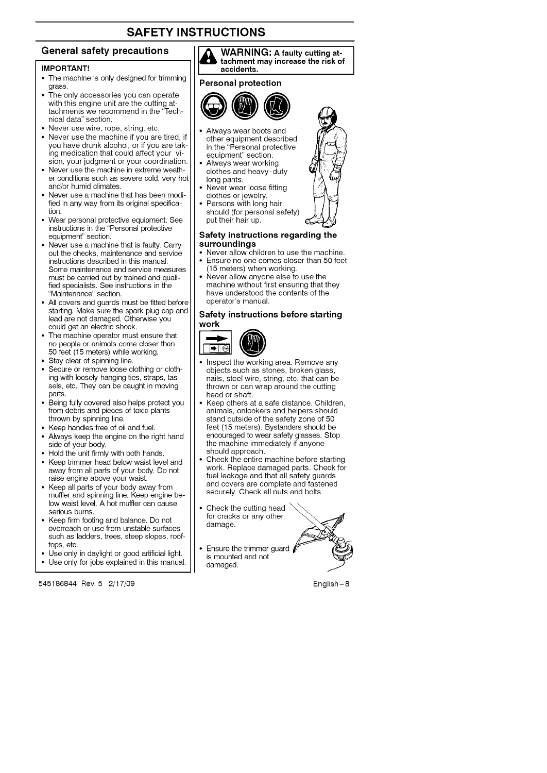#### **General safety precautions**

#### **IMPORTANT!**

- The machine is only designed for trimming grass.
- The only accessories you can operate with this engine unit are the cutting attachments we recommend in the "Technical data" section.
- Never use wire, rope, string, etc.
- Never use the machine if you are tired, if you have drunk alcohol, or if you are taking medication that could affect your vision, your judgment or your coordination.
- Never use the machine in extreme weather conditions such as severe cold, very hot and/or humid climates.
- Never use a machine that has been modified in any way from its original specification.
- Wear personal protective equipment. See instructions in the "Personal protective equipment" section.
- Never use a machine that is faulty. Carry out the checks, maintenance and service instructions described in this manual. Some maintenance and service measures must be carried out by trained and qualified specialists. See instructions in the "Maintenance" section.
- All covers and guards must be fitted before starting. Make sure the spark plug cap and lead are not damaged. Otherwise you could get an electric shock.
- The machine operator must ensure that no people or animals come closer than 50 feet (15 meters) while working.
- Stay clear of spinning line.
- Secure or remove loose clothing or clothing with loosely hanging ties, straps, tassels, etc. They can be caught in moving parts.
- Being fully covered also helps protect you from debris and pieces of toxic plants thrown by spinning line.
- Keep handles free of oil and fuel.
- Always keep the engine on the right hand side of your body.
- Hold the unit firmly with both hands.
- Keep trimmer head below waist level and away from all parts of your body. Do not raise engine above your waist.
- Keep all parts of your body away from muffler and spinning line. Keep engine below waist level. A hot muffler can cause serious burns.
- Keep firm footing and balance. Do not overreach or use from unstable surfaces such as ladders, trees, steep slopes, rooftops, etc.
- Use only in daylight or good artificial light.
- Use only for jobs explained in this manual.

545186844 Rev. 5 2/17/09 **English**-8



#### **Personal protection**



- Always wear boots and other equipment described in the "Personal protective equipment" section.
- Always wear working clothes and heavy-duty long pants.
- Never wear loose fitting clothes or jewelry.
- Persons with long hair should (for personal safety) put their hair up.

#### **Safety instructions regarding the surroundings**

- Never allow children to use the machine. • Ensure no one comes closer than 50 feet (15 meters) when working.
- Never allow anyone else to use the machine without first ensuring that they have understood the contents of the operator's manual.

### **Safety instructions before starting**



- Inspect the working area. Remove any objects such as stones, broken glass, nails, steel wire, string, etc. that can be thrown or can wrap around the cutting head or shaft.
- Keep others at a safe distance. Children, animals, onlookers and helpers should stand outside of the safety zone of 50 feet (15 meters). Bystanders should be encouraged to wear safety glasses. Stop the machine immediately if anyone should approach.
- Check the entire machine before starting work. Replace damaged parts. Check for fuel leakage and that all safety guards and covers are complete and fastened securely. Check all nuts and bolts.
- Check the cutting head for cracks or any other<br>damage.
- Ensure the trimmer guard  $\sqrt{}$ is mounted and not damaged.



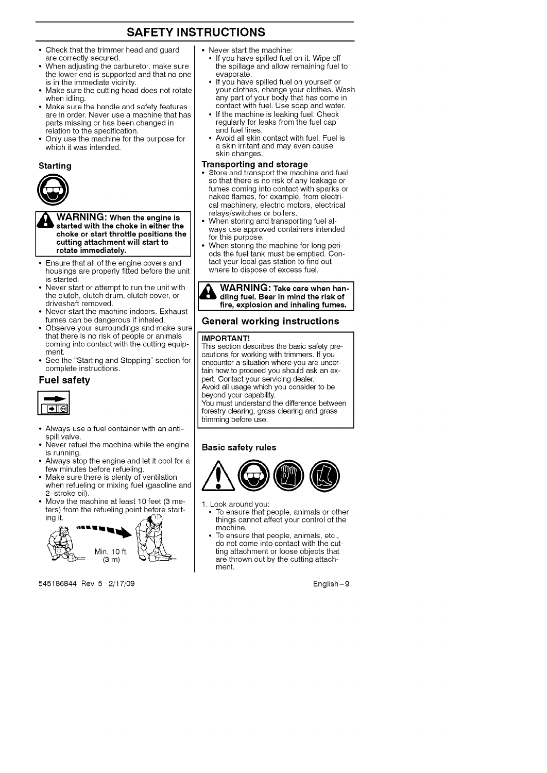- Check that the trimmer head and guard are correctly secured.
- When adjusting the carburetor, make sure the lower end is supported and that no one is in the immediate vicinity.
- Make sure the cutting head does not rotate when idling.
- Make sure the handle and safety features are in order. Never use a machine that has parts missing or has been changed in relation to the specification.
- Only use the machine for the purpose for which it was intended.

#### **Starting**



WARNING: When **the is engine started with the choke in either the choke or start throttle positions the cutting attachment will start to rotate immediately.**

- Ensure that all of the engine covers and housings are properly fitted before the unit is started.
- Never start or attempt to run the unit with the clutch, clutch drum, clutch cover, or driveshaft removed.
- Never start the machine indoors. Exhaust fumes can be dangerous if inhaled.
- Observe your surroundings and make sure that there is no risk of people or animal coming into contact with the cutting equipment.
- See the "Starting and Stopping" section for complete instructions.

#### **Fuel safety**



- Always use a fuel container with an antispill valve.
- Never refuel the machine while the engine is running.
- Always stop the engine and let it cool for a few minutes before refueling.
- Make sure there is plenty of ventilation when refueling or mixing fuel (gasoline and 2-stroke oil).
- Move the machine at least 10 feet (3 meters) from the refueling point before start-<br>ing it.



545186844 Rev. 5 2/17/09 English-9

- Never start the machine:
	- If you have spilled fuel on it. Wipe off the spillage and allow remaining fuel to evaporate.
	- If you have spilled fuel on yourself or your clothes, change your clothes. Was<br>any part of your body that has come in contact with fuel. Use soap and water.
	- If the machine is leaking fuel. Check regularly for leaks from the fuel cap and fuel lines.
	- Avoid all skin contact with fuel. Fuel is a skin irritant and may even cause skin changes.

#### **Transporting and storage**

- Store and transport the machine and fuel so that there is no risk of any leakage or fumes coming into contact with sparks or naked flames, for example, from electrical machinery, electric motors, electrical relays/switches or boilers.
- When storing and transporting fuel always use approved containers intended for this purpose.
- When storing the machine for long periods the fuel tank must be emptied. Contact your local gas station to find out where to dispose of excess fuel.



#### General working instructions

#### **IMPORTANT!**

This section describes the basic safety precautions for working with trimmers. If you encounter a situation where you are uncertain how to proceed you should ask an expert. Contact your servicing dealer. Avoid all usage which you consider to be

beyond your capability. You must understand the difference between

forestry clearing, grass clearing and grass trimming before use.

#### **Basic safety rules**



- 1. Look around you:
	- To ensure that people, animals or other things cannot affect your control of the machine.
	- To ensure that people, animals, etc. do not come into contact with the cutting attachment or loose objects that are thrown out by the cutting attachment.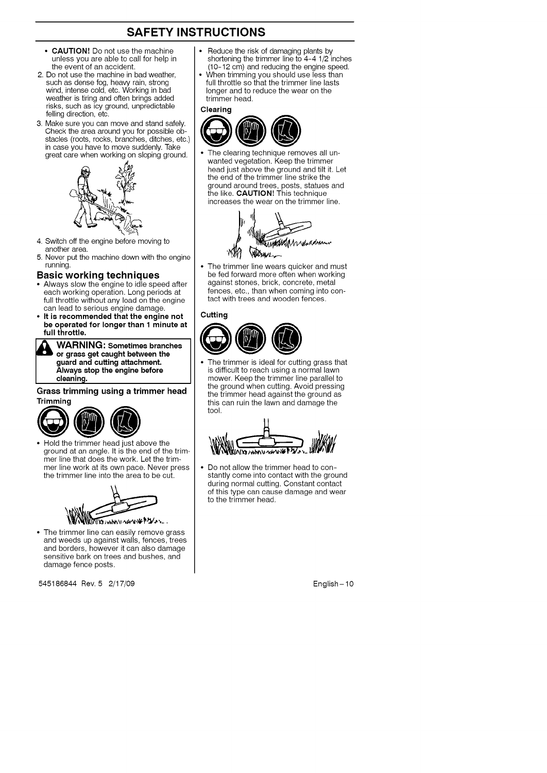- **CAUTION!** Do not use the machine unless you are able to call for help in the event of an accident.
- 2. Do not use the machine in bad weather, such as dense fog, heavy rain, strong wind, intense cold, etc. Working in bad weather is tiring and often brings added risks, such as icy ground, unpredictable felling direction, etc.
- 3. Make sure you can move and stand safely. Check the area around you for possible obstacles (roots, rocks, branches, ditches, etc.) in case you have to move suddenly. Take great care when working on sloping ground.



- 4. Switch off the engine before moving to another area.
- 5. Never put the machine down with the engine running.

#### Basic working techniques

- Always slow the engine to idle speed after each working operation. Long periods at full throttle without any load on the engine can lead to serious engine damage.
- **• It is recommended that the engine not be operated for longer than 1 minute at full throttle.**

**WARNING: Sometimes branches or grass get caught between the guard and cutting attachment.** \_ **ARNING: Sometimes branches Always stop the engine before** cleaning.

## **Grass trimming using a trimmer head**



• Hold the trimmer head just above the ground at an angle. It is the end of the trimmer line that does the work. Let the trimmer line work at its own pace. Never press the trimmer line into the area to be cut.



• The trimmer line can easily remove grass and weeds up against walls, fences, trees and borders, however it can also damage sensitive bark on trees and bushes, and damage fence posts.

545186844 Rev. 5 2/17/09 **English-10** 

- Reduce the risk of damaging plants by shortening the trimmer line to 4-4 1/2 inches (10-12 cm) and reducing the engine speed.
- When trimming you should use less than full throttle so that the trimmer line lasts longer and to reduce the wear on the trimmer head.



The clearing technique removes all unwanted vegetation. Keep the trimmer head just above the ground and tilt it. Let the end of the trimmer line strike the ground around trees, posts, statues and the like. CAUTION! This technique increases the wear on the trimmer line.



The trimmer line wears quicker and must be fed forward more often when working against stones, brick, concrete, metal fences, etc., than when coming into contact with trees and wooden fences.

#### **Cutting**



The trimmer is ideal for cutting grass that is difficult to reach using a normal lawn mower. Keep the trimmer line parallel to the ground when cutting. Avoid pressing the trimmer head against the ground as this can ruin the lawn and damage the tool.



Do not allow the trimmer head to constantly come into contact with the ground during normal cutting. Constant contact of this type can cause damage and wear to the trimmer head.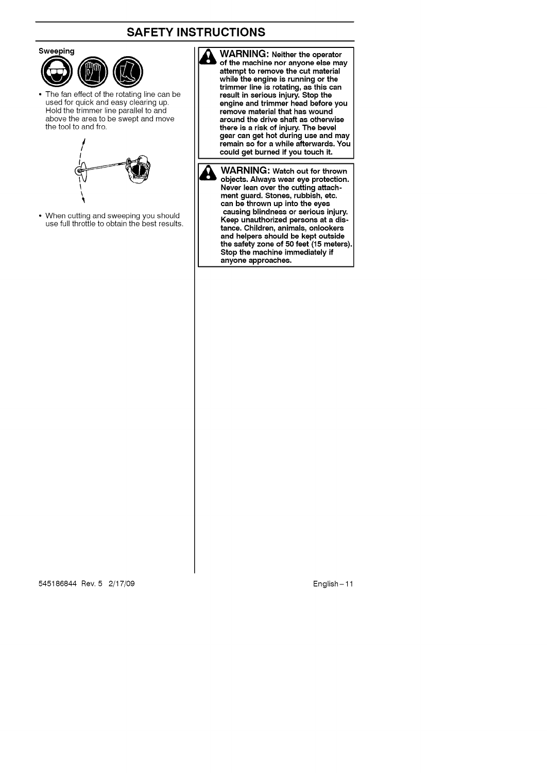



• The fan effect of the rotating line can be used for quick and easy clearing up. Hold the trimmer line parallel to and above the area to be swept and move the tool to and fro.



• When cutting and sweeping you should use full throttle to obtain the best results. **& WARNING:** Neither **the operator of the machine nor anyone else may attempt to remove the cut material while the engine is running or the trimmer line is rotating, as this can result in serious injury. Stop the engine and trimmer head before you remove material that has wound around the drive shaft as otherwise there is a risk of injury. The bevel gear can get hot during use and may remain so for a while afterwards. You could get burned if you touch it.**

**& WARNING: Watch out** for **thrown objects. Always wear eye protection. Never lean over the cutting attachment guard. Stones, rubbish, etc. can be thrown up into the eyes causing blindness or serious injury. Keep unauthorized persons at a distance. Children, animals, onlookers and helpers should be kept outside the** safety **zone of 50 feet (15 meters). Stop the machine immediately if anyone approaches.**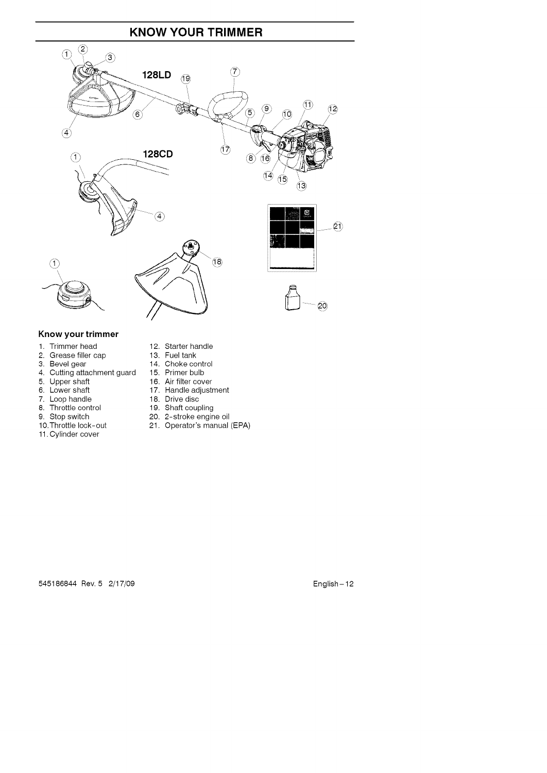### **KNOW YOUR TRIMMER**



### **Know your trimmer**

- 1. Trimmer head
- 2. Grease filler cap
- 3. Bevel gear
- 4. Cutting attachment guard
- 5. Upper shaft
- 6. Lower shaft 7. Loop handle
- 8. Throttle control
- 9. Stop switch
- 10.Throttle lock-out
- 11. Cylinder cover
- 12. Starter handle
- 13. Fuel tank
- 14. Choke control
- 15. Primer bulb
- 16. Air filter cover
- 17. Handle adjustment
- 18. Drive disc
- 19. Shaft coupling
- 20. 2-stroke engine oil
- 21. Operator's manual (EPA)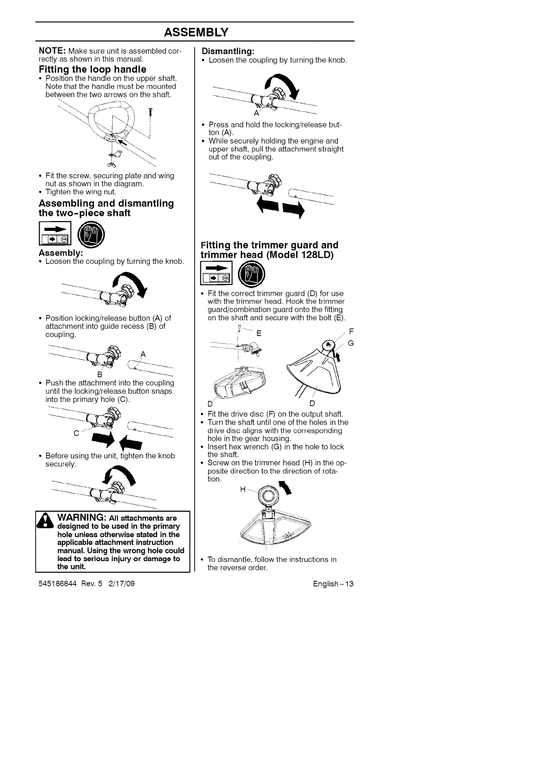### **ASSEMBLY**



545186844 Rev. 5 2/17/09

• Loosen the coupling by turning the knob.



- Press and hold the locking/release but-
- While securely holding the engine and upper shaft, pull the attachment straight



#### **Fitting the trimmer guard and trimmer head (Model 128LD)**

• Fit the correct trimmer guard (D) for use with the trimmer head. Hook the trimmer guard/combination guard onto the fitting on the shaft and secure with the bolt (E).



- Fit the drive disc (F) on the output shaft.<br>• Turn the shaft until one of the boles in the
- Turn the shaft until one of the holes in the drive disc aligns with the corresponding hole in the gear housing.
- Insert hex wrench (G) in the hole to lock
- Screw on the trimmer head (H) in the opposite direction to the direction of rota-



• To dismantle, follow the instructions in the reverse order.

English - 13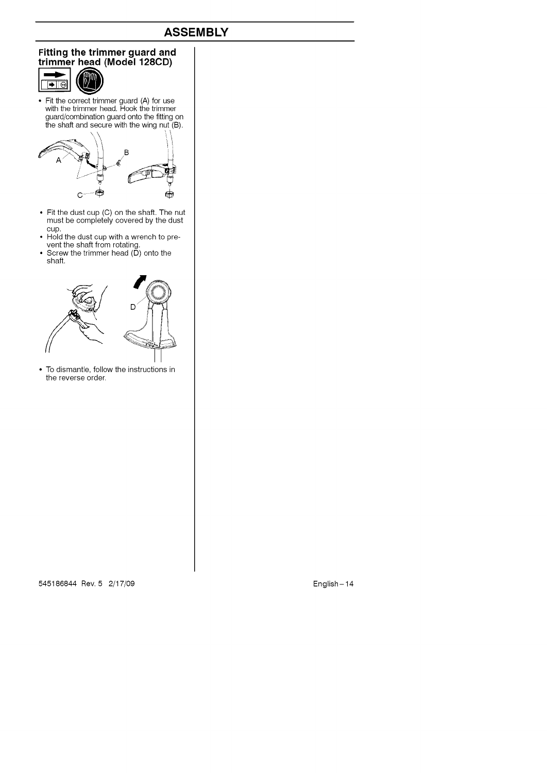### **ASSEMBLY**

# **Fitting the trimmer guard and**



• Fit the correct trimmer guard (A) for use with the trimmer head. Hook the trimmer guard/combination guard onto the fitting on the shaft and secure with the wing nut (B).



- Fit the dust cup (C) on the shaft. The nut must be completely covered by the dust cup.
- Hold the dust cup with a wrench to prevent the shaft from rotating.
- Screw the trimmer head (D) onto the shaft.



• To dismantle, follow the instructions in the reverse order.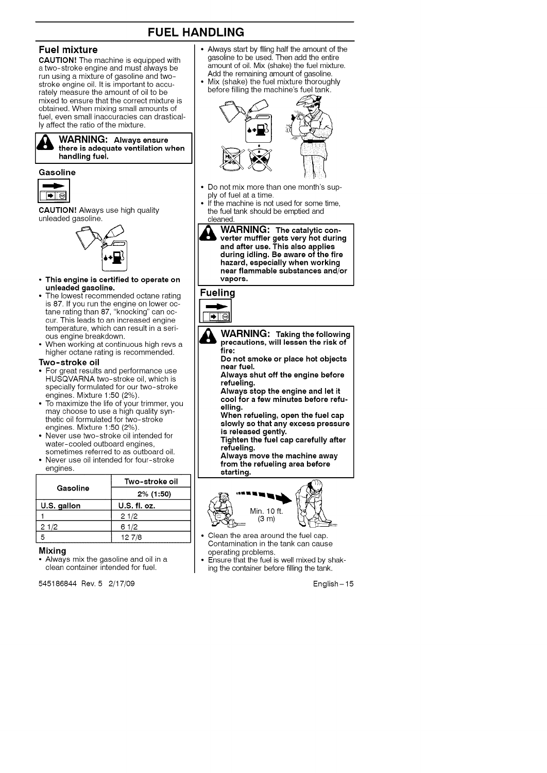### **FUEL HANDLING**

#### **Fuel mixture**

**CAUTION!** The machine is equipped with a two-stroke engine and must always be run using a mixture of gasoline and twostroke engine oil. It is important to accurately measure the amount of oil to be mixed to ensure that the correct mixture is obtained. When mixing small amounts of fuel, even small inaccuracies can drastically affect the ratio of the mixture.

#### **WARNING: Always ensure** &WARNING: **Always ensure there is adequate ventilation when handling fuel.**

#### **Gasoline**



**CAUTION!** Always use high quality unleaded gasoline.



- **• This engine is certified to operate on unleaded gasoline.**
- The **lowest** recommended octane rating is 87. If you run the engine on lower octane rating than 87, "knocking" can occur. This leads to an increased engine temperature, which can result in a serious engine breakdown.
- When working at continuous high revs a higher octane rating is recommended.

#### Two-stroke **oil**

- For great results and performance use HUSQVARNA two-stroke oil, which is specially formulated for our two-stroke engines. Mixture 1:50 (2%).
- To maximize the life of your trimmer, you may choose to use a high quality synthetic oil formulated for two-stroke engines. Mixture 1:50 (2%).
- Never use two-stroke oil intended for water-cooled outboard engines, sometimes referred to as outboard oil.
- Never use oil intended for four-stroke engines.

|             | Two-stroke oil |  |
|-------------|----------------|--|
| Gasoline    | $2\%$ (1:50)   |  |
| U.S. gallon | U.S. fl. oz.   |  |
|             | 21/2           |  |
| 21/2        | 61/2           |  |
|             | 127/8          |  |

#### **Mixing**

• Always mix the gasoline and oil in a clean container intended for fuel.

545186844 Rev. 5 2/17/09 English-15

- Always start by filing half the amount of the gasoline to be used. Then add the entire amount of oil. Mix (shake) the fuel mixture. Add the remaining amount of gasoline.
- Mix (shake) the fuel mixture thoroughly before filling the machine's fuel tank.



- Do not mix more than one month's supply of fuel at a time.
- If the machine is not used for some time, the fuel tank should be emptied and cleaned.
	- ¥ **WARNING: The catalytic con- verter muffler gets very hot during and after use. This also applies during idling. Be aware of the fire hazard, especially when working near flammable substances and/or vapors.**

# **Fueling**



- WARNING: **Taking the** following **precautions, will lessen the risk of fire: Do not smoke or place hot objects near fuel. Always shut off the engine before refueling. Always stop the engine and let it cool for a few minutes before refuelling.**
	- **When refueling, open the fuel cap slowly so that any excess pressure is released gently.**
	- **Tighten the fuel cap carefully after refueling.**
	- **Always move the machine away from the refueling area before starting.**



- Clean the area around the fuel cap. Contamination in the tank can cause operating problems.
- Ensure that the fuel is well mixed by shaking the container before filling the tank.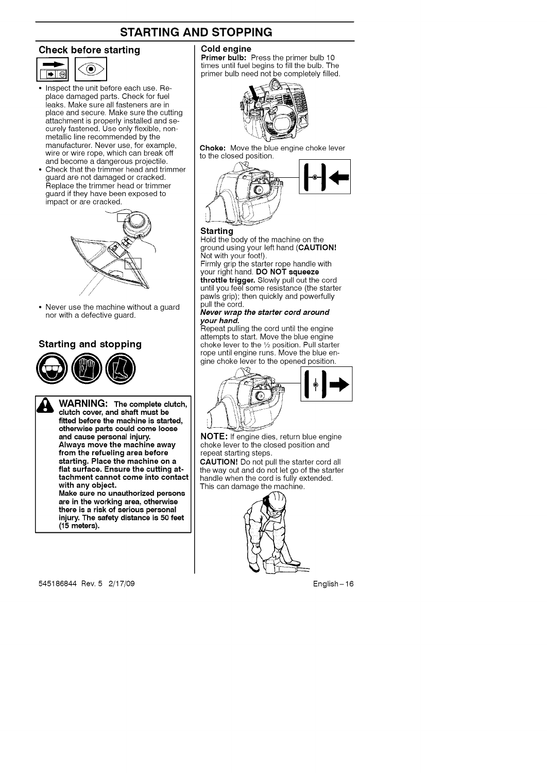### **STARTING AND STOPPING**

#### **Check before starting**



- Inspect the unit before each use. Replace damaged parts. Check for fuel leaks. Make sure all fasteners are in place and secure. Make sure the cutting attachment is properly installed and securely fastened. Use only flexible, nonmetallic line recommended by the manufacturer. Never use, for example, wire or wire rope, which can break off and become a dangerous projectile.
- Check that the trimmer head and trimmer guard are not damaged or cracked. Replace the trimmer head or trimmer guard if they have been exposed to impact or are cracked.



• Never use the machine without a guard nor with a defective guard.

### **Starting and stopping**



**WARNING: The complete clutch, clutch cover, and shaft must be fitted before the machine is started, otherwise parts could come loose and cause personal injury. Always move the machine away from the refueling area before starting. Place the machine on a flat surface. Ensure the cutting attachment cannot come into contact with any object. Make sure no unauthorized persons**

**are in the working area, otherwise there is a risk of serious personal injury. The safety distance is 50 feet (15 meters).**

**Cold engine**

**Primer bulb:** Press the primer bulb 10 times until fuel begins to fill the bulb. The primer bulb need not be completely filled.



Choke: Move the blue engine choke lever to the closed position.



#### **Starting**

Hold the body of the machine on the ground using your left hand (**CAUTIO**<br>Not with your foot!). Firmly grip the starter rope handle with

your right hand. **DO NOT squee: throttle trigger.** Slowly pull out the cord until you feel some resistance (the starter pawls grip); then quickly and powerfully pull the cord.

#### **Never** wrap **the starter cord around your hand.**

Repeat pulling the cord until the engine attempts to start. Move the blue engine choke lever to the 1/2 position. Pull starter rope until engine runs. Move the blue engine choke lever to the opened position.



NOTE; If engine dies, return blue engine choke lever to the closed position and repeat starting steps.

CAUTION! Do not pull the starter cord all the way out and do not let go of the starter handle when the cord is fully extended. This can damage the machine.

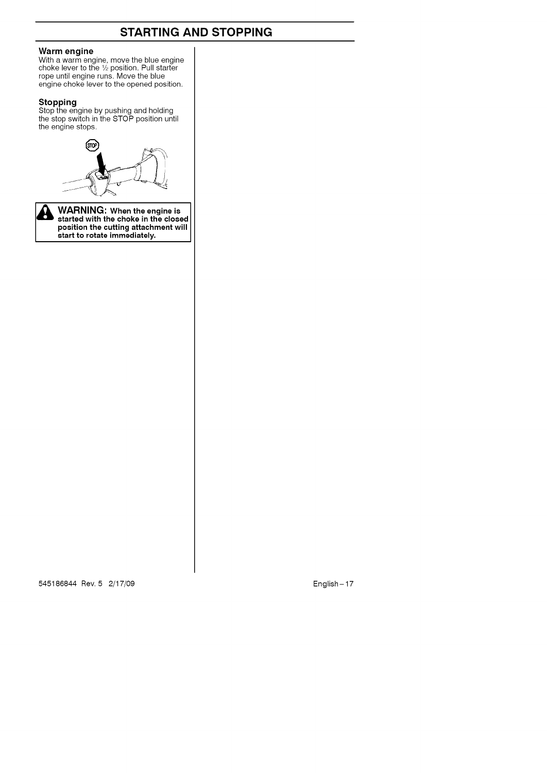### **STARTING AND STOPPING**

#### **Warm engine**

With a warm engine, move the blue engin<br>choke lever to the ½ position. Pull starter rope until engine runs. Move the blue engine choke lever to the opened positio

#### **Stoppi**

Stop the engine by pushing and holding the stop switch in the STOP position until the engine stops.





**bosition the cutting attachment w started with the choke in the closed position the cutting attachment will start to rotate immediately.**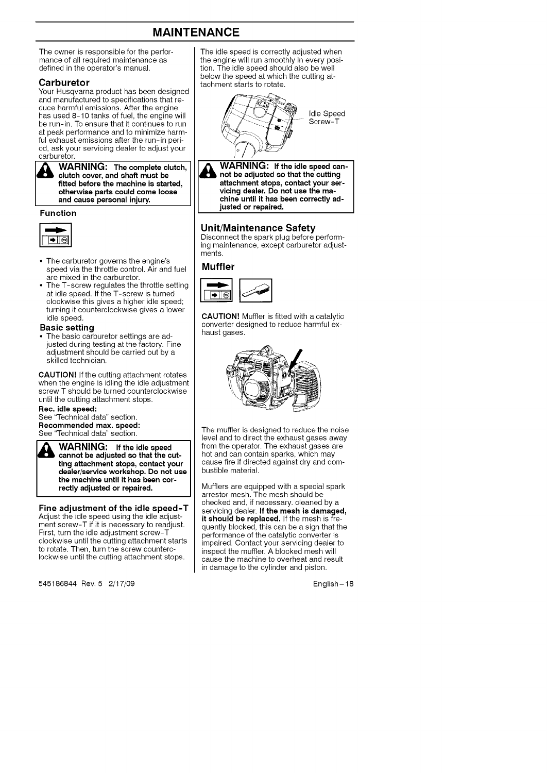### **MAINTENANCE**

The owner is responsible for the performance of all required maintenance as defined in the operator's manual.

#### **Carburetor**

Your Husqvarna product has been designed and manufactured to specifications that reduce harmful emissions. After the engine has used 8-10 tanks of fuel, the engine will be run-in. To ensure that it continues to run at peak performance and to minimize harmful exhaust emissions after the run-in period, ask your servicing dealer to adjust your carburetor.

WARNING: The complete clutch, **clutch cover, and shaft must be fitted before the machine is started, &WARNING: The complete clutch, otherwise parts could come loose and cause personal injury.**

#### **Function**



- The carburetor governs the engine's speed via the throttle control. Air and fuel are mixed in the carburetor.
- The T-screw regulates the throttle setting at idle speed. If the T-screw is turned clockwise this gives a higher idle speed; turning it counterclockwise gives a lower idle speed.

#### **Basic setting**

• The basic carburetor settings are adjusted during testing at the factory. Fine adjustment should be carried out by a skilled technician.

CAUTION! If the cutting attachment rotates when the engine is idling the idle adjustment screw T should be turned counterclockwise until the cutting attachment stops.

**Rec. idle speed:** See "Technical data" section.

**Recommended** max. **speed:** See "Technical data" section.

**WARNING:** If the idle speed **cannot be adjusted** so **that the cutting attachment stops, contact your dealer/service workshop. Do not use** \_ **WARNING: If the idle speed the machine until it has been correctly adjusted or repaired.**

#### Fine **adjustment of the idle speed-T**

Adjust the idle speed using the idle adjustment screw-T if it is necessary to readjust. First, turn the idle adjustment screw-T clockwise until the cutting attachment starts to rotate. Then, turn the screw counterclockwise until the cutting attachment stops.

545186844 Rev. 5 2/17/09 English-18

The idle speed is correctly adjusted when the engine will run smoothly in every position. The idle speed should also be well below the speed at which the cutting attachment starts to rotate.



**WARNING: If the idle speed can- not be adjusted** so **that the cutting** γ **attachment stops, contact your servicing dealer. Do not use the machine until it has been correctly adjusted or repaired.**

#### **Unit/Maintenance Safety**

Disconnect the spark plug before performing maintenance, except carburetor adjustments.

#### **Muffler**



**CAUTION!** Muffler is fitted with a catalytic converter designed to reduce harmful exhaust gases.



The muffler is designed to reduce the noise level and to direct the exhaust gases away from the operator. The exhaust gases are hot and can contain sparks, which may cause fire if directed against dry and combustible material.

Mufflers are equipped with a special spar<br>arrestor mesh. The mesh should be checked and, if necessary, cleaned by a servicing dealer. **If the mesh is damaged, it should be replaced.** If the mesh is frequently blocked, this can be a sign that the performance of the catalytic converter is impaired. Contact your servicing dealer to inspect the muffler. A blocked mesh will cause the machine to overheat and result in damage to the cylinder and piston.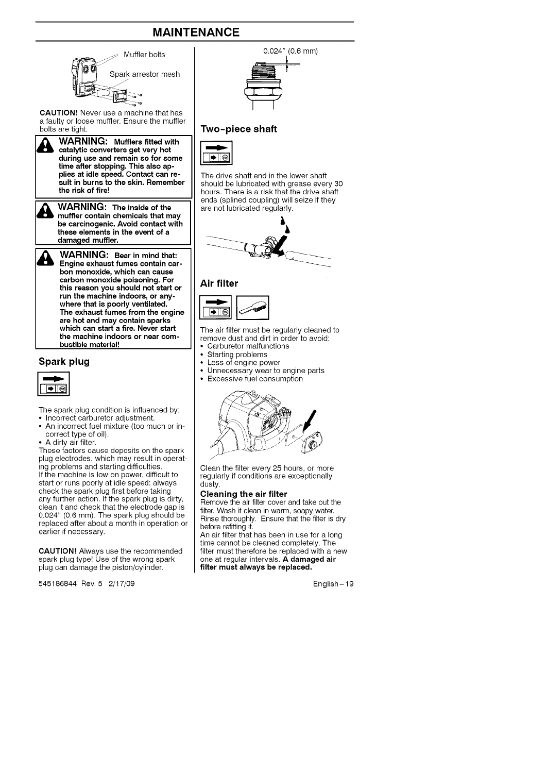### **MAINTENANCE**



**CAUTION!** Never use a machine that has a faulty or loose muffler. Ensure the muffler bolts are tight.



**WARNING: Mufflers fitted with catalytic converters get very hot during use and remain** so **for some time after stopping. This also applies at idle speed. Contact can re-**I\_ **ARNING: Mufflers fitted with sult in burns to the skin. Remember the risk of fire!**



**WARNING:** The inside of the **muffler contain chemicals that may be carcinogenic, Avoid contact with I\_ ARNING: The** inside **of the these elements in the event of a damaged muffler.**

\_ **ARNING: Bear in mind that: Engine exhaust fumes contain carbon monoxide, which can cause carbon monoxide poisoning. For this reason you should not start or run the machine indoors, or anywhere that is poorly ventilated. The exhaust fumes from the engine are hot and may contain sparks which can start a fire, Never** start **the machine indoors or near combustible material!**

#### **Spark plug**



The spark plug condition is influenced by: • Incorrect carburetor adjustment.

- An incorrect fuel mixture (too much or incorrect type of oil).
- A dirty air filter.

These factors cause deposits on the spark plug electrodes, which may result in operating problems and starting difficulties. If the machine is low on power, difficult to start or runs poorly at idle speed: always check the spark plug first before taking any further action. If the spark plug is dirty, clean it and check that the electrode gap is 0.024" (0.6 mm). The spark plug should be replaced after about a month in operation or earlier if necessary.

**CAUTION!** Always use the recommended spark plug type! Use of the wrong spark plug can damage the piston/cylinder.

545186844 Rev. 5 2/17/09 English-19

0.024" (0.6 mm)

#### **Two-piece shaft**



The drive shaft end in the lower shaft should be lubricated with grease every 30 hours. There is a risk that the drive shaft ends (splined coupling) will seize if they are not lubricated regularly.



#### **Air** filter



The air filter must be regularly cleaned to remove dust and dirt in order to avoid: Carburetor malfunctions

- 
- Starting problems<br>• Loss of engine powe
- Unnecessary wear to engine parts
- Excessive fuel consumption





Clean the filter every 25 hours, or more regularly if conditions are exceptionally dusty.

#### **Cleaning the air filter**

Remove the air filter cover and take out the filter. Wash it clean in warm, soapy water. Rinse thoroughly. Ensure that the filter is dry before refitting it.

An air filter that has been in use for a long time cannot be cleaned completely. The filter must therefore be replaced with a new one at regular intervals. **A damaged air filter must always be replaced,**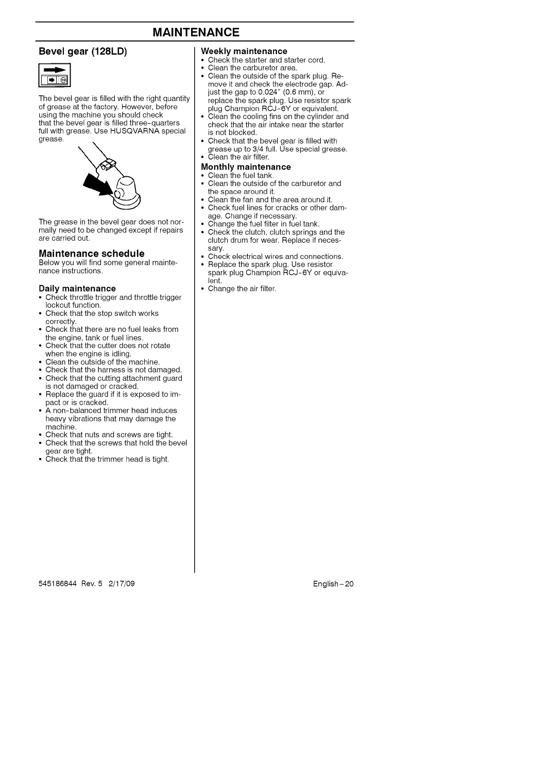### **MAINTENANCE**

#### **Bevel gear (128LD)**



The bevel gear is filled with the right quantity of grease at the factory. However, before using the machine you should check that the bevel gear is filled three-quarters full with grease. Use HUSQVARNA special grease.



The grease in the bevel gear does not normally need to be changed except if repairs are carried out.

#### **Maintenance schedule**

Below you will find some general maintenance instructions.

#### **Daily maintenance**

- Check throttle trigger and throttle trigger lockout function.
- Check that the stop switch works correctly.
- Check that there are no fuel leaks from the engine, tank or fuel lines.
- Check that the cutter does not rotate when the engine is idling.
- Clean the outside of the machine.
- Check that the harness is not damaged. • Check that the cutting attachment guard
- is not damaged or cracked. • Replace the guard if it is exposed to impact or is cracked.
- A non-balanced trimmer head induces heavy vibrations that may damage the machine.
- Check that nuts and screws are tight.
- Check that the screws that hold the bevel
- gear are tight. Check that the trimmer head is tight.

#### **Weekly maintenance**

- Check the starter and starter cord.
- Clean the carburetor area.
- Clean the outside of the spark plug. Remove it and check the electrode gap. Ad-just the gap to 0.024" (0.6 mm), or replace the spark plug. Use resistor spark
- plug Champion RCJ-6Y or equivalent. Clean the cooling fins on the cylinder and check that the air intake near the starter is not blocked.
- Check that the bevel gear is filled with
- grease up to 3/4 full. Use special greas<br>• Clean the air filter.

#### **Monthly maintenance**

- Clean the fuel tank.
- Clean the outside of the carburetor and the space around it.
- Clean the fan and the area around it.
- Check fuel lines for cracks or other damage. Change if necessary.
- Change the fuel filter in fuel tank.
- Check the clutch, clutch springs and the clutch drum for wear. Replace if necessary.
- Check electrical wires and connections.
- Replace the spark plug. Use resistor spark plug Champion RCJ-6Y or equivalent.
- Change the air filter.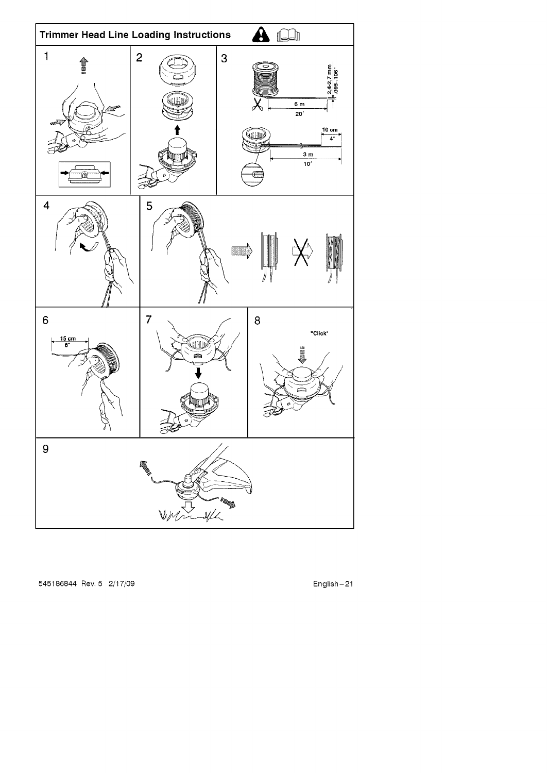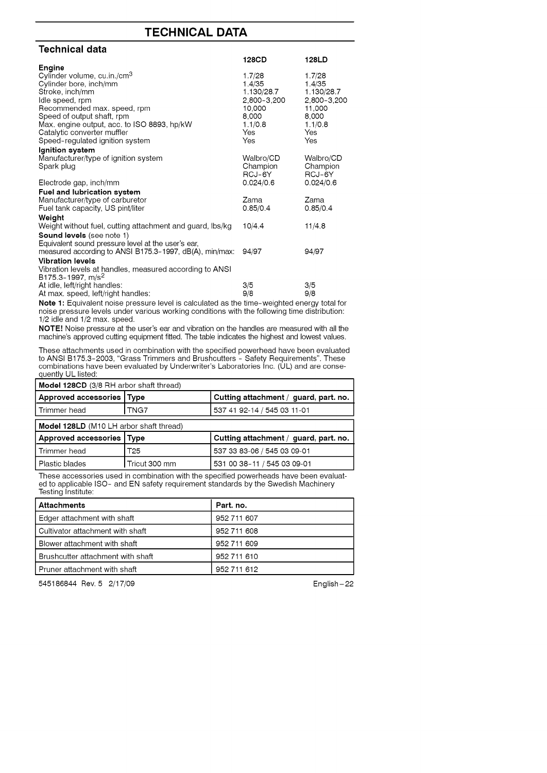### **TECHNICAL DATA**

| Technical data                                                |                       |                       |
|---------------------------------------------------------------|-----------------------|-----------------------|
|                                                               | 128CD                 | 128LD                 |
| Engine                                                        |                       |                       |
| Cylinder volume, cu.in./cm <sup>3</sup>                       | 1.7/28                | 1.7/28                |
| Cylinder bore, inch/mm                                        | 1.4/35                | 1.4/35                |
| Stroke, inch/mm                                               | 1.130/28.7            | 1.130/28.7            |
| Idle speed, rpm<br>Recommended max, speed, rpm                | 2,800-3,200<br>10.000 | 2,800-3,200<br>11,000 |
| Speed of output shaft, rpm                                    | 8,000                 | 8,000                 |
| Max. engine output, acc. to ISO 8893, hp/kW                   | 1.1/0.8               | 1.1/0.8               |
| Catalytic converter muffler                                   | Yes                   | Yes                   |
| Speed-regulated ignition system                               | Yes                   | Yes                   |
| Ignition system                                               |                       |                       |
| Manufacturer/type of ignition system                          | Walbro/CD             | Walbro/CD             |
| Spark plug                                                    | Champion              | Champion              |
| Electrode gap, inch/mm                                        | RCJ-6Y<br>0.024/0.6   | RCJ-6Y<br>0.024/0.6   |
| <b>Fuel and lubrication system</b>                            |                       |                       |
| Manufacturer/type of carburetor                               | Zama                  | Zama                  |
| Fuel tank capacity, US pint/liter                             | 0.85/0.4              | 0.85/0.4              |
| Weight                                                        |                       |                       |
| Weight without fuel, cutting attachment and guard, lbs/kg     | 10/4.4                | 11/4.8                |
| Sound levels (see note 1)                                     |                       |                       |
| Equivalent sound pressure level at the user's ear,            |                       |                       |
| measured according to ANSI B175.3-1997, dB(A), min/max:       | 94/97                 | 94/97                 |
| <b>Vibration levels</b>                                       |                       |                       |
| Vibration levels at handles, measured according to ANSI       |                       |                       |
| B175.3-1997, m/s <sup>2</sup><br>At idle, left/right handles: | 3/5                   | 3/5                   |
| At max. speed, left/right handles:                            | 9/8                   | 9/8                   |

Note 1: Equivalent noise pressure level is calculated as the time-weighted energy total for noise pressure levels under various working conditions with the following time distribution: 1/2 idle and 1/2 max. speed.

NOTE! Noise pressure at the user's ear and vibration on the handles are measured with all the machine's approved cutting equipment fitted. The table indicates the highest and lowest values.

These attachments used in combination with the specified powerhead have been evaluated to ANSI B175.3-2003, "Grass Trimmers and Brushcutters - Safety Requirements". Thes combinations have been evaluated by Underwriter's Laboratories Inc. (UL) and are consequently UL listed:

| Model 128CD (3/8 RH arbor shaft thread) |                 |                                       |  |
|-----------------------------------------|-----------------|---------------------------------------|--|
| Approved accessories Type               |                 | Cutting attachment / guard, part. no. |  |
| Trimmer head                            | TNG7            | 537 41 92-14 / 545 03 11-01           |  |
| Model 128LD (M10 LH arbor shaft thread) |                 |                                       |  |
| Approved accessories   Type             |                 | Cutting attachment / guard, part. no. |  |
| Trimmer head                            | T <sub>25</sub> | 537 33 83-06 / 545 03 09-01           |  |
| Plastic blades                          | Tricut 300 mm   | 531 00 38-11 / 545 03 09-01           |  |

These accessories used in combination with the specified powerheads have been evalua ed to applicable ISO- and EN safety requirement standards by the Swedish Machine Testing Institute:

| <b>Attachments</b>                | Part. no.   |
|-----------------------------------|-------------|
| Edger attachment with shaft       | 952 711 607 |
| Cultivator attachment with shaft  | 952 711 608 |
| Blower attachment with shaft      | 952 711 609 |
| Brushcutter attachment with shaft | 952 711 610 |
| Pruner attachment with shaft      | 952 711 612 |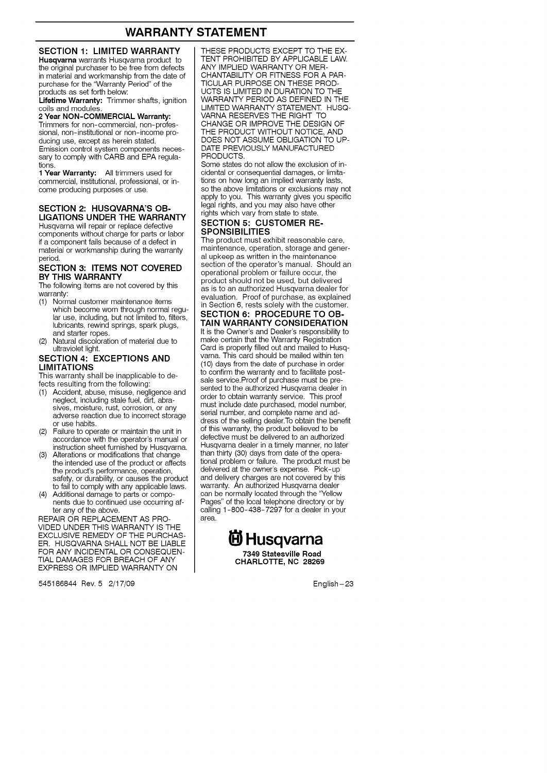### **WARRANTY STATEMENT**

#### **SECTION 1: LIMITED WARRANTY**

Husqvarna warrants Husqvarna product to the original purchaser to be free from defects in material and workmanship from the date of purchase for the "Warranty Period" of the products as set forth below:

Lifetime Warranty: Trimmer shafts, ignition coils and modules.

2 Year NON-COMMERCIAL Warranty: Trimmers for non-commercial, non-professional, non-institutional or non-income producing use, except as herein stated. Emission control system components necessary to comply with CARB and EPA regulations.

1 Year Warranty: All trimmers used for commercial, institutional, professional, or income producing purposes or use.

#### **SECTION** 2: **HUSQVARNA'S** OB-LIGATIONS **UNDER** THE **WARRANTY**

Husqvarna will repair or replace defective components without charge for parts or labor if a component fails because of a defect in material or workmanship during the warranty period.

#### SECTION **3:** ITEMS NOT COVERED BY THIS WARRANTY

The following items are not covered by this warranty:

- (1) Normal customer maintenance items which become worn through normal regular use, including, but not limited to, filters, lubricants, rewind springs, spark plugs, and starter ropes.
- (2) Natural discoloration of material due to ultraviolet light.

#### SECTION 4: EXCEPTIONS AND LIMITATIONS

This warranty shall be inapplicable to defects resulting from the following:

- (1) Accident, abuse, misuse, negligence and neglect, including stale fuel, dirt, abrasives, moisture, rust, corrosion, or any adverse reaction due to incorrect storage or use habits.
- (2) Failure to operate or maintain the unit in accordance with the operator's manual or instruction sheet furnished by Husqvarna.
- (3) Alterations or modifications that change the intended use of the product or affects the product's performance, operation, safety, or durability, or causes the product to fail to comply with any applicable laws.
- (4) Additional damage to parts or components due to continued use occurring after any of the above.

REPAIR OR REPLACEMENT AS PRO-VIDED UNDER THIS WARRANTY IS THE EXCLUSIVE REMEDY OF THE PURCHAS-ER. HUSQVARNA SHALL NOT BE LIABLE FOR ANY INCIDENTAL OR CONSEQUEN-TIAL DAMAGES FOR BREACH OF ANY EXPRESS OR IMPLIED WARRANTY ON

545186844 Rev. 5 2/17/09 English-23

THESE PRODUCTS EXCEPT TO THE EX-TENT PROHIBITED BY APPLICABLE LAW. ANY IMPLIED WARRANTY OR MER-CHANTABILITY OR FITNESS FOR A PAR-TICULAR PURPOSE ON THESE PROD-UCTS IS LIMITED IN DURATION TO THE WARRANTY PERIOD AS DEFINED IN THE LIMITED WARRANTY STATEMENT. HUSQ-VARNA RESERVES THE RIGHT TO CHANGE OR IMPROVE THE DESIGN OF THE PRODUCT WITHOUT NOTICE, AND DOES NOT ASSUME OBLIGATION TO UP-DATE PREVIOUSLY MANUFACTURED PRODUCTS.

Some states do not allow the exclusion of incidental or consequential damages, or limitations on how long an implied warranty lasts, so the above limitations or exclusions may not apply to you. This warranty gives you specific legal rights, and you may also have other rights which vary from state to state.

# SECTION 5: CUSTOMER RE<br>SPONSIBILITIES

The product must exhibit reasonable care, maintenance, operation, storage and general upkeep as written in the maintenance section of the operator's manual. Should an operational problem or failure occur, the product should not be used, but delivered as is to an authorized Husqvarna dealer for evaluation. Proof of purchase, as explained in Section 6, rests solely with the customer. SECTION 6: PROCEDURE TO OB-

TAIN WARRANTY CONSIDERATION It is the Owner's and Dealer's responsibility to make certain that the Warranty Registration Card is properly filled out and mailed to Husqvarna. This card should be mailed within ten (10) days from the date of purchase in order to confirm the warranty and to facilitate postsale service.Proof of purchase must be presented to the authorized Husqvarna dealer in order to obtain warranty service. This proof must include date purchased, model number, serial number, and complete name and address of the selling dealer.To obtain the benefit of this warranty, the product believed to be defective must be delivered to an authorized Husqvarna dealer in a timely manner, no later than thirty (30) days from date of the operational problem or failure. The product must be delivered at the owner's expense. Pick-up and delivery charges are not covered by this warranty. An authorized Husqvarna dealer can be normally located through the "Yellow Pages" of the local telephone directory or by calling 1-800-438-7297 for a dealer in your area.

> **6 Husqvarna** 7349 **Stateaville Road** CHARLOTTE, NO **28269**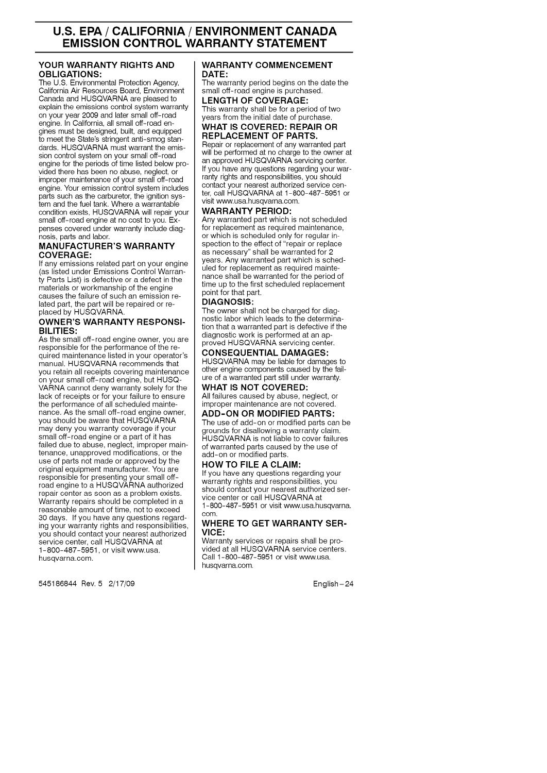### **U.S. EPA / CALIFORNIA / ENVIRONMENT CANADA EMISSION CONTROL WARRANTY STATEMENT**

#### **YOUR WARRANTY RIGHTS AND** OBLIGATIONS:

The U.S. Environmental Protection Agency, California Air Resources Board, Environment Canada and HUSQVARNA are pleased to explain the emissions control system warranty on your year 2009 and later small off-road engine. In California, all small off-road engines must be designed, built, and equipped to meet the State's stringent anti-smog standards. HUSQVARNA must warrant the emission control system on your small off-roa engine for the periods of time listed below provided there has been no abuse, neglect, or improper maintenance of your small off-road engine. Your emission control system includes parts such as the carburetor, the ignition system and the fuel tank. Where a warrantable condition exists, HUSQVARNA will repair your small off-road engine at no cost to you. Expenses covered under warranty include diagnosis, parts and labor.

#### **MANUFACTURER'S** WARRANTY **COVERAGE:**

If any emissions related part on your engine (as listed under Emissions Control Warranty Parts List) is defective or a defect in the materials or workmanship of the engine causes the failure of such an emission related part, the part will be repaired or replaced by HUSQVARNA.

#### OWNER'S WARRANTY **RESPONSI-**BILITIES:

As the small off-road engine owner, you are responsible for the performance of the required maintenance listed in your operator's manual. HUSQVARNA recommends that you retain all receipts covering maintenance on your small off-road engine, but HUSQ-VARNA cannot deny warranty solely for the lack of receipts or for your failure to ensure the performance of all scheduled maintenance. As the small off-road engine owner, you should be aware that HUSQVARNA may deny you warranty coverage if your small off-road engine or a part of it has failed due to abuse, neglect, improper maintenance, unapproved modifications, or the use of parts not made or approved by the original equipment manufacturer. You are responsible for presenting your small offroad engine to a HUSQVARNA authorized repair center as soon as a problem exists. Warranty repairs should be completed in a reasonable amount of time, not to exceed 30 days. If you have any questions regarding your warranty rights and responsibilities, you should contact your nearest authorized service center, call HUSQVARNA at 1-800-487-5951, or visit www.usa. husqvarna.com.

545186844 Rev. 5 2/17/09 English-24

#### WARRANTY COMMENCEMENT DATE:

The warranty period begins on the date the small off-road engine is purchased.

LENGTH OF COVERAGE: This warranty shall be for a period of two years from the initial date of purchase.

#### WHAT IS COVERED: REPAIR OR REPLACEMENT OF PARTS,

Repair or replacement of any warranted part will be performed at no charge to the owner at an approved HUSQVARNA servicing center. If you have any questions regarding your warrarity rights and responsibilities, you should contact your nearest authorized service center, call HUSQVARNA at 1-800-487-5951 or visit www.usa.husqvama.com.

#### WARRANTY PERIOD:

Any warranted part which **is** not scheduled for replacement as required maintenance. or which is scheduled only for regular inspection to the effect of "repair or replace as necessary" shall be warranted for 2 years. Any warranted part which is scheduled for replacement as required maintenance shall be warranted for the period of time up to the first scheduled replacement point for that part.

#### **DIAGNOSIS:**

The owner shall not be charged for diagnostic labor which leads to the determination that a warranted part is defective if the diagnostic work is performed at an approved HUSQVARNA servicing center.

#### CONSEQUENTIAL DAMAGES:

HUSQVARNA may be liable for damages to other engine components caused by the failure of a warranted part still under warranty. WHAT IS NOT COVERED:

All failures caused by abuse, neglect, or improper maintenance are not covered.

#### ADD-ON OR MODIFIED PARTS:

The use of add-on or modified parts can be grounds for disallowing a warranty claim. HUSQVARNA is not liable to cover failures of warranted parts caused by the use of add-on or modified parts.

#### HOW TO FILE A CLAIM:

If you have any questions regarding your warranty rights and responsibilities, you should contact your nearest authorized service center or call HUSQVARNA at 1-800-487-5951 or visit www.usa.husqvarna. oom.

#### WHERE **TO** GET WARRANTY **SER-**VICE:

Warranty services or repairs shall be provided at all HUSQVARNA service centers. Call 1-800-487-5951 or visit www.usa. husqvarna.com.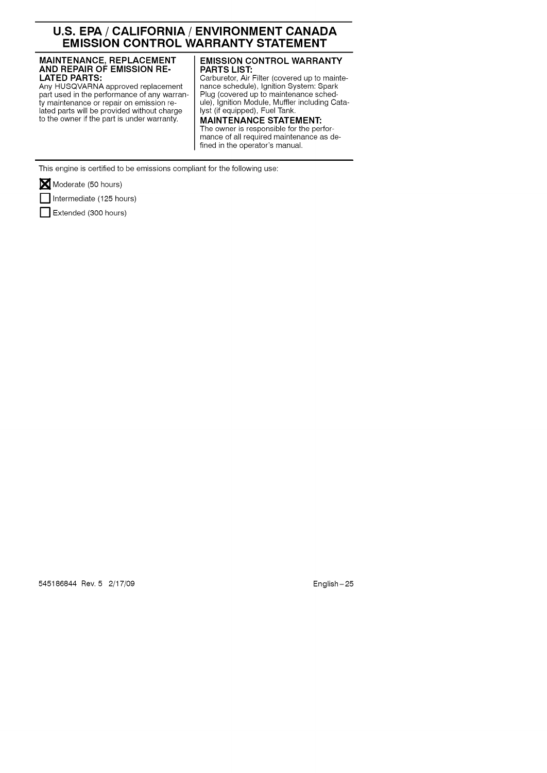### **U.S. EPA / CALIFORNIA / ENVIRONMENT CANADA EMISSION CONTROL WARRANTY STATEMENT**

### **MAINTENANCE,** REPLACEMENT **AND REPAIR** OF **EMISSION** RE-LATED **PARTS:**

Any HUSQVARNA approved replacement part used in the performance of any warranty maintenance or repair on emission related parts will be provided without charge to the owner if the part is under warranty.

#### **EMISSION** CONTROL **WARRANTY** PARTS **LIST:**

Carburetor, Air Filter (covered up to maintenance schedule), Ignition System: Spark Plug (covered up to maintenance schedule), Ignition Module, Muffler including Catalyst (if equipped), Fuel Tank.

**MAINTENANCE STATEMENT:** The owner is responsible for the performance of all required maintenance as defined in the operator's manual.

This engine is certified to be emissions compliant for the following use:

Moderate (50 hours)

[] Intermediate (125 hours)

Extended (300 hours)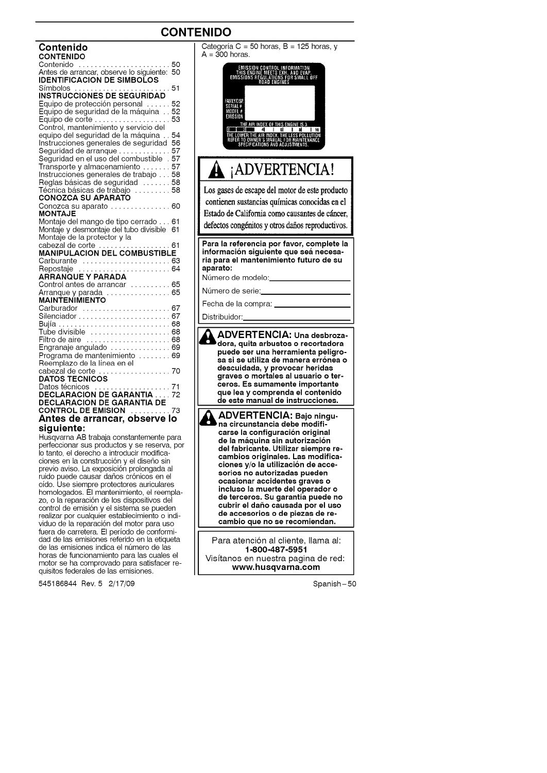### **CONTENIDO**

| Contenido                                                                                                                                      |          |
|------------------------------------------------------------------------------------------------------------------------------------------------|----------|
| <b>CONTENIDO</b>                                                                                                                               |          |
| Contenido<br>Antes de arrancar, observe lo siguiente:                                                                                          | 50<br>50 |
| IDENTIFICACION DE SIMBOLOS                                                                                                                     |          |
|                                                                                                                                                |          |
| Símbolos<br>INSTRUCCIONES DE SEGURIDAD                                                                                                         |          |
| Equipo de protección personal                                                                                                                  | 52       |
| Equipo de seguridad de la máquina 52                                                                                                           |          |
| Equipo de corte  53                                                                                                                            |          |
| Control, mantenimiento y servicio del                                                                                                          |          |
| equipo del sequridad de la máquina                                                                                                             | 54       |
| Instrucciones generales de seguridad 56                                                                                                        |          |
| Seguridad de arranque                                                                                                                          | 57       |
| Seguridad en el uso del combustible . 57                                                                                                       |          |
| Transporte y almacenamiento  57                                                                                                                |          |
| Instrucciones generales de trabajo  58                                                                                                         |          |
| Reglas básicas de seguridad 58                                                                                                                 |          |
| Técnica básicas de trabajo  58                                                                                                                 |          |
| <b>CONOZCA SU APARATO</b>                                                                                                                      |          |
| Conozca su aparato  60                                                                                                                         |          |
| MONTAJE                                                                                                                                        |          |
| Montaje del mango de tipo cerrado 61                                                                                                           |          |
| Montaje y desmontaje del tubo divisible 61                                                                                                     |          |
| Montaje de la protector y la                                                                                                                   |          |
|                                                                                                                                                |          |
|                                                                                                                                                |          |
| cabezal de corte<br>MANIPULACION DEL COMBUSTIBLE                                                                                               |          |
| Carburante  63                                                                                                                                 |          |
| Repostaje  64                                                                                                                                  |          |
| ARRANQUE Y PARADA                                                                                                                              |          |
|                                                                                                                                                |          |
| Control antes de arrancar<br>Arranque y parada<br>1995 - Controllo Barcontes, contrator estate de la contrata de la contrata de la contrata de |          |
| <b>MAINTENIMIENTO</b>                                                                                                                          |          |
|                                                                                                                                                |          |
| Carburador  67<br>Silenciador  67                                                                                                              |          |
|                                                                                                                                                |          |
| Tube divisible  68<br>Filtro de aire <i></i> 68                                                                                                |          |
| Engranaje angulado  69                                                                                                                         |          |
| Programa de mantenimiento  69                                                                                                                  |          |
| Reemplazo de la línea en el                                                                                                                    |          |
|                                                                                                                                                |          |
| cabezal de corte 70<br><b>DATOS TECNICOS</b>                                                                                                   |          |
| Datos técnicos                                                                                                                                 |          |
|                                                                                                                                                |          |
|                                                                                                                                                |          |
| Datos técnicos ,………………………71<br><b>DECLARACION DE GARANTIA</b> .……72<br><b>DECLARACION DE GARANTIA DE</b><br><b>CONTROL DE EMISION</b>          | 73       |
| Antes de arrancar, observe lo                                                                                                                  |          |
| siauiente:<br>Huenvarna AR trabaja conetantemente nara                                                                                         |          |

Husqvarna AB trabaja constantemente para perfeccionar sus productos y se reserva, per Io tanto, el derecho a introducir modificaciones en la construcción y el diseño sin previo aviso. La exposición prolongada al ruido puede causar daños crónicos en el oido. Use siempre protectores auriculares homologados. El mantenimiento, el reemplazo, o la reparación de los dispositivos del control de emisión y el sistema se pueden realizar por cualquier establecimiento o individuo de la reparación del motor para uso fuera de carretera. El periodo de conformidad de las emisiones referido en la etiqueta de las emisiones indica el número de las horas de funcionamiento para las cuales el motor se ha comprovado para satisfacer requisitos federales de las emisiones.

545186844 Rev. 5 2/17/09

Categoría C = 50 horas, B = 125 horas, y  $A = 300$  horas. )L INFORMATION<br>S EXH. AND EVAP<br>ONS FOR SMALL OFF EMISSIO<br>This eng<br>Emissions **IR INDEX OF THIS ENGINE IS 3 THE 41 1 61 1 81**<br>FR THE AIR MOEX, THE LESS POLLU<br>FOWNER'S MANUAL FOR MAINTENA<br>CIFICATIONS AND ACJUSTMENTS.  $110$ VANC. .& iADVERTENCIA! Los gases de escape del motor de este producto contienen sustancias químicas conocidas en el Estado de California como causantes de cáncer, defectos congénitos y otros daños reproductivos. **Para la referencia por** favor, **complete la informacion** eiguiente **que eea neceearia para el mantenimiento futuro de** eu **aparato:** Número de modelo: Número de serie: Fecha de la compra: Distribuidor: **ADVERTENCIA: Una deebroza-dora, quita arbuetoe o recortadora** ¥ **puede** eer **una herramienta peligroea** ei **ee utiliza de manera erronea o deecuidada, y provocar heridae graves o mortalee al ueuario o terceroe. Ee eumamente importante que lea y comprenda el contenido de este manual de instruccionee. ADVERTENCIA: Bajo ningu-**И **na circunetancia debe modificaree la configuracion original de la m\_,quina** sin **autorizacion del fabricante. Utilizar eiempre recambioe originalee. Lae modificacionee y/o la utilizacion de acce**eorioe **no autorizadae pueden ocaeionar accidentee graves o inclueo la muerte del operador o de terceroe. Su garantla puede no cubrir el dafio caueada por el ueo de acceeorioe o de piezae de recambio que no** ee **recomiendan.** Para atención al cliente, llama al: 1-800-487-5951

Visitanos en nuestra pagina de red: **www, husqvarna,oom**

Spanish-50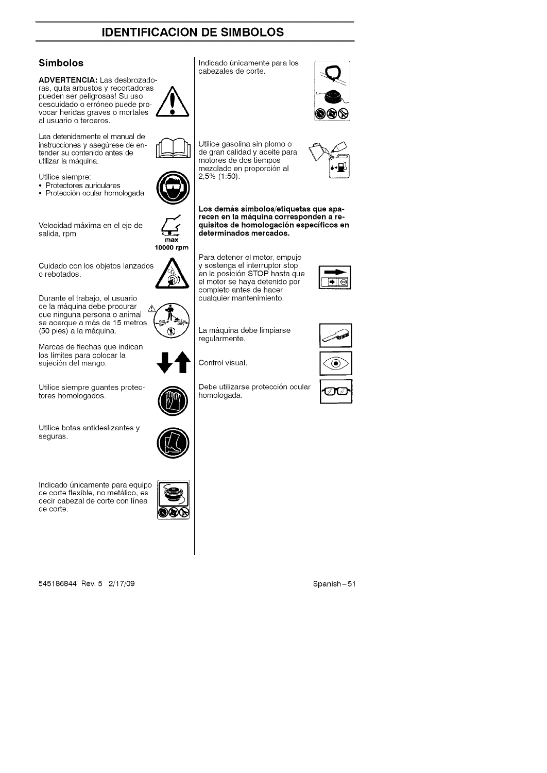### **IDENTIFICACION DE SIMBOLOS**

### **Simbolos**

**ADVERTENCIA:** Las desbrozadoras, quita arbustos y recortadoras pueden ser peligrosas! Su uso descuidado o erróneo puede provocar heridas graves o mortales al usuario o terceros.

Lea detenidamente el manual de instrucciones y asegúrese de entender su contenido antes de utilizar la máquina.

Utilice siempre:

- Protectores auriculares
- Protección ocular homologada **N**

Velocidad máxima en el eje de salida, rpm

Cuidado con los objetos lanzados o rebotados.

Durante el trabajo, el usuario de la máquina debe procurar  $\overline{A}$ que ninguna persona o animal se acerque a más de 15 metros (50 pies) a la m&quina.

Marcas de flechas que indican los límites para colocar la sujeción del mango.

Utilice siempre guantes protectores homologados.

Utilice botas antideslizantes y seguras.

Indicado únicamente para equipo de corte flexible, no metálico, es decir cabezal de corte con linea de corte.



545186844 Rev. 5 2/17/09 Spanish-51





Indicado únicamente para los cabezales de corte.

Los demás símbolos/etiquetas que apa**recen en la maquina corresponden a requisitoe de homologacion eepeclficoe en determinados mercados.**



┡

max

Para detener el motor, empuje y sostenga el interruptor stop en la posición STOP hasta que el motor se haya detenido por completo antes de hacer cualquier mantenimiento.

La máquina debe limpiarse regularmente.

Control visual.

Debe utilizarse protección ocular homologada.





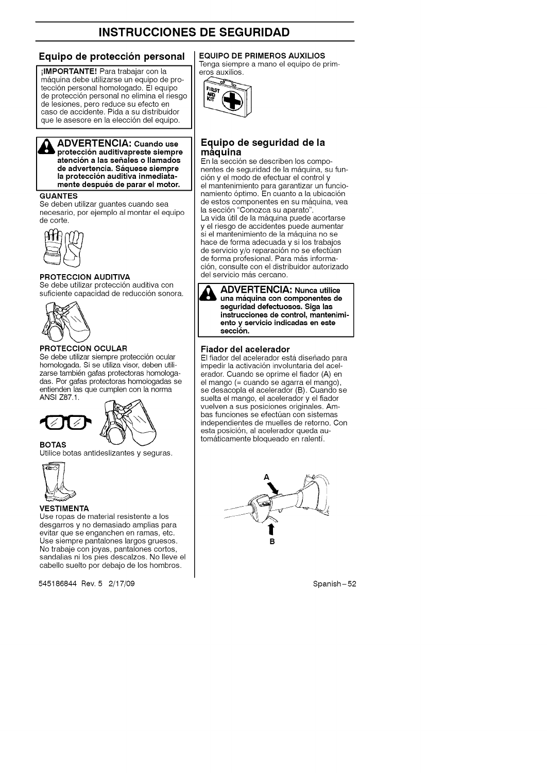#### **Equipo de proteccion personal**

ilMPORTANTE! Para trabajar con la m&quina debe utilizarse un equipo de protecci6n personal homologado. El equipo de protecci6n personal no elimina el riesgo de lesiones, pero reduce su efecto en caso de accidente. Pida a su distribuidor que le asesore en la elección del equipo.



#### **ADVERTENCIA: Cuando use proteccion auditivapreste siempre atencion a lae eeftalee o Ilamadoe de advertencia. Saquese siempre ADVERTENCIA: Cuando use la proteccion auditiva inmediatamente deepues de parar el motor.**

#### **GUANTES**

Se deben utilizar guantes cuando sea necesario, por ejemplo al montar el equipo de corte.



#### **PROTECCION AUDITIVA**

Se debe utilizar protección auditiva con suficiente capacidad de reducción sonora.



#### **PROTECCION OCULAR**

Se debe utilizar siempre protección ocular homologada. Si se utiliza visor, deben utilizarse también gafas protectoras homologadas. Por gafas protectoras homologadas se entienden las que cumplen con la norma ANSI Z87.1.





Utilice botas antideslizantes y seguras.



**BOTAS**

#### **VESTIMENTA**

Use ropas de material resistente a los desgarros y no demasiado amplias para evitar que se enganchen en ramas, etc. Use siempre pantalones largos gruesos. No trabaje con joyas, pantalones cortos, sandalias ni los pies descalzos. No Ileve el cabello suelto por debajo de los hombros.

545186844 Rev. 5 2/17/09 Spanish-52

### **EQUIPO DE PRIMEROS AUXILIOS**

Tenga siempre a mano el equipo de primeros auxilios.



#### **Equip o de seguridad de la maquma**

En la sección se describen los componentes de seguridad de la máquina, su función y el modo de efectuar el control y el mantenimiento para garantizar un funcionamiento óptimo. En cuanto a la ubicación de estos componentes en su m&quina, vea la secci6n "Conozca su aparato'.

La vida útil de la máquina puede acortarse y el riesgo de accidentes puede aumentar si el mantenimiento de la máquina no se hace de forma adecuada y si los trabajos de servicio y/o reparación no se efectúan de forma profesional. Para más informaci6n, consulte con el distribuidor autorizado del servicio más cercano.



**ADVERTENCIA: Nunca utilice una maquina con componentes de seguridad defectuosos. Siga las instrucciones de control, mantenimiento.y, servicio indicadas en este** sección.

#### Fiador **del acelerador**

El fiador del acelerador está diseñado para impedir la activación involuntaria del acelerador. Cuando se oprime el fiador (A) en el mango (= cuando se agarra el mango), se desacopla el acelerador (B). Cuando se suelta el mango, el acelerador y el fiador vuelven a sus posiciones originales. Ambas funciones se efectúan con sistemas independientes de muelles de retorno. Con esta posición, al acelerador queda autom&ticamente bloqueado en ralenti.

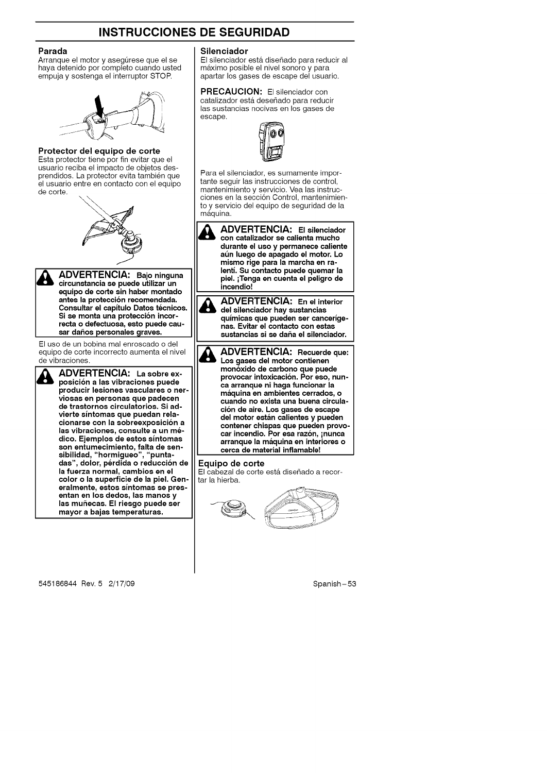#### **Parada**

Arranque el motor y asegúrese que el se haya detenido por completo cuando usted empuja y sostenga el interruptor STOR



#### **Protector del equipo de corte**

Esta protector tiene por fin evitar que el usuario reciba el impacto de objetos desprendidos. La protector evita también que el usuario entre en contacto con el equipo de corte.





ADVERTENCIA: Bajo ninguna **circunatancia ae puede utilizar un equipo de corte** sin **haber montado antes la protecci6n recomendada. Conaultar el capltulo Datoe tecnicoe. I** Bi se monta una protección incor**recta o defectuoaa, eato puede cauaar daftoa peraonalee** graves.

El uso de un bobina mal enroscado o del equipo de corte incorrecto aumenta el nivel de vibraciones.



**ADVERTENCIA: La** eobre **ex- poaici6n <sup>a</sup> laa vibracionea puede producir leaionea vaecularee o nervioeaa en personae que padecen de traetornoa circulatorioa. Si advierte alntomaa que puedan relacionarae con la eobreexpoaici6n a laa vibracionee, conaulte a un medico. Ejemploa de eetoa alntomaa son entumecimiento, falta de** een**aibilidad, "hormigueo",** "punta**daa", dolor, perdida o reducci6n de la fuerza normal, cambioa en** el **color o la auperficie de la piel. Generalmente, eetoa alntomaa ee preeentan en los dedoa, laa manoa y laa mu\_ecaa. El rieego puede aer mayor a bajaa temperaturaa.**

#### **Silenciador**

El silenciador está diseñado para reducir al m&ximo posible el nivel sonoro y para apartar los gases de escape del usuario.

#### **PRECAUCION:** El silenciador con catalizador está deseñado para reducir las sustancias nocivas en los gases de escape.

Para el silenciador, es sumamente importante seguir las instrucciones de control, mantenimiento y servicio. Vea las instrucciones en la sección Control, mantenimientoy servicio del equipo de seguridad de la máquina.

**ADVERTENCIA: El ailenciador con catalizador** ee **calienta mucho durante el ueo y permanece caliente at\_n luego de apagado el motor. Lo miamo rige para la marcha** en **ralenti. Su contacto puede quemar la piel.** iTenga **en cuenta el peligro de incendio!** d\_lb **ADVERTENCIA: En el interior del ailenciador hay** euatanciaa

**qulmicaa que pueden eer cancerlgenae. Evitar el contacto con eataa auatanciaa ai ee dafta el ailenciador.**

**& ADVERTENCIA: Recuerde que: Los gases del motor contienen mon6xido de carbono que puede provocar intoxicacion. Por eeo, nunca arranque ni haga funcionar la maquina en ambientee cerradoe, o cuando no exiata una buena circulaci6n de aire. Los gases de escape del motor eatan calientea y pueden contener chiapae que pueden provocar incendio. Por eea razon,** inunca **arranque la maquina en interiorea o cerca de material inflamable!**

#### **Equipo de corte**

El cabezal de corte está diseñado a recortar la hierba.

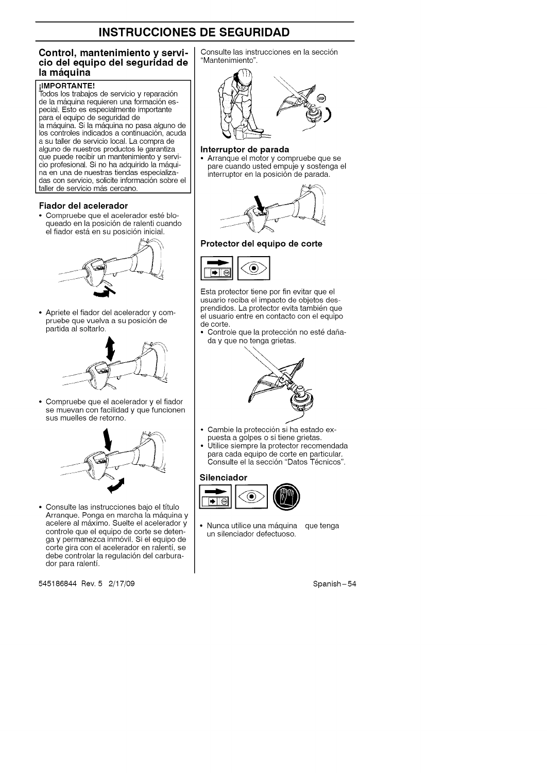#### **Control, mantenimiento y servicio del equipo del seguridad de la maquina**

#### **IMPORTANTE!**

Todos los trabajos de servicio y reparación<br>de la máquina requieren una formación es )ecial. Esto es especialmente importante para el equipo de seguridad de la máquina. Si la máquina no pasa alguno de los controles indicados a continuación, acuda a su taller de servicio local. La compra de alguno de nuestros productos le garantiza que puede recibir un mantenimiento y servicio profesional. Si no ha adquirido la máquina en una de nuestras tiendas especializadas con servicio, solicite información sobre el taller de servicio más cercano.

#### **Fiador del acelerador**

• Compruebe que el acelerador esté bloqueado en la posición de ralenti cuando el fiador está en su posición inicial.



• Apriete el fiador del acelerador y compruebe que vuelva a su posición de partida al soltarlo.



• Compruebe que el acelerador y el fiador se muevan con facilidad y que funcionen sus muelles de retorno.



• Consulte las instrucciones bajo el titulo Arranque. Ponga en marcha la máquina y acelere al m&ximo. Suelte el acelerador y controle que el equipo de corte se detengay permanezca inm6vil. Si el equipo de corte gira con el acelerador en ralenti, se debe controlar la regulación del carburador para ralenti.

545186844 Rev. 5 2/17/09 Spanish-54

Consulte las instrucciones en la sección "Mantenimiento".



#### **Interruptor de parada**

• Arranque el motor y compruebe que se pare cuando usted empuje y sostenga el interruptor en la posición de parada.



**Protector del equipo de corte**



Esta protector tiene por fin evitar que el usuario reciba el impacto de objetos desprendidos. La protector evita tambien que el usuario entre en contacto con el equipo de corte.

Controle que la protección no esté dañaday que no tenga grietas.



- Cambie la protección si ha estado expuesta a golpes o si tiene grietas.
- Utilice siempre la protector recomendada para cada equipo de corte en particula<br>Consulte el la sección "Datos Técnicos

#### **Silenciador**



Nunca utilice una máquina que tenga un silenciador defectuoso.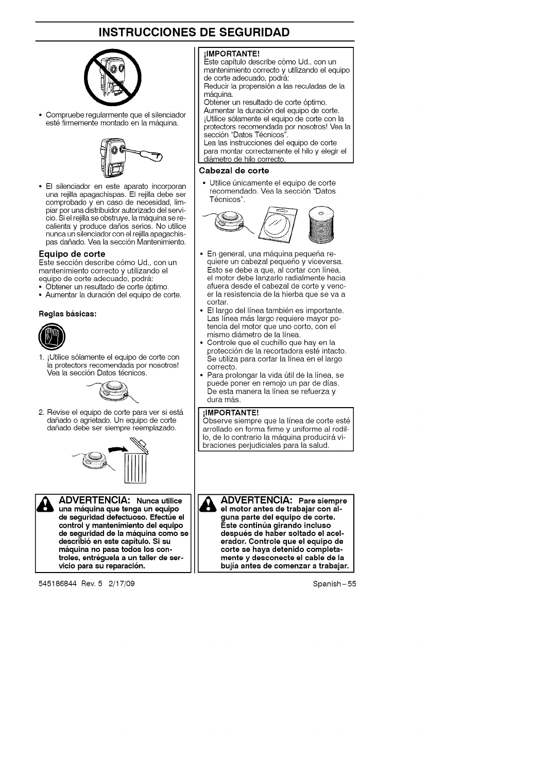

• Compruebe regularmente que el silenciador esté firmemente montado en la máquina.



• El silenciador en este aparato incorporan una rejilla apagachispas. El rejilla debe ser comprobado y en caso de necesidad, limpiar por una distribuidor autorizado del servicio. Si el rejilla se obstruye, la m\_tquina se recalienta y produce daños serios. No utilice nunca un silenciador con el rejilla apagachispas dañado. Vea la sección Mantenimiento.

#### **Equipo de corte**

Este secci6n describe c6mo Ud., con un mantenimiento correcto y utilizando el equipo de corte adecuado, podrá:

- Obtener un resultado de corte 6ptimo.
- Aumentar la duraci6n del equipo de corte.

#### **Raglas baaicas:**



1. iUtilice s61amente el equipo de corte con la protectors recomendada por nosotros<br>Vea la sección Datos técnicos.



2. Revise el equipo de corte para ver si está dañado o agrietado. Un equipo de corte danado debe ser siempre reemplazado.





**ADVERTENCIA: Nunca utilice una maquina qua tanga un equipo de \$aguridad defactuoao. Efectt\_e el control y mantenimiento del aquipo de saguridad de la maquina como se deecribio en eate capltulo. Si su maquina no paea todoe los controlaa, entreguela a un taller de aervicio para au raparacion.**

545186844 Rev. 5 2/17/09 Spanish-55

#### ilMPORTANTE!

Este capitulo describe c6mo Ud., con un mantenimiento correcto y utilizando el equipo de corte adecuado, podr&: Reducir la propensión a las reculadas de la

m&quina.

Obtener un resultado de corte 6ptimo. Aumentar la duración del equipo de corte. iUtilice s61amente el equipo de corte con la protectors recomendada por nosotres! Vea la sección "Datos Técnicos".

Lea las instrucciones del equipo de corte para montar correctamente el hilo y elegir el di&metro de hilo correcto.

#### **Cabezal de corte**

• Utilice únicamente el equipo de corte recomendado. Vea la sección "Datos Técnicos".



- En general, una máquina pequeña requiere un cabezal pequeño y viceversa. Esto se debe a que, al cortar con linea, el motor debe lanzarlo radialmente hacia afuera desde el cabezal de corte y vencer la resistencia de la hierba que se va a cortar.
- El largo del línea también es importante. Las línea más largo requiere mayor potencia del motor que uno corto, con el mismo diámetro de la línea.
- Controle que el cuchillo que hay en la protección de la recortadora esté intacto. Se utiliza para cortar la linea en el largo correcto.
- Para prolongar la vida útil de la línea, se puede poner en remojo un par de dias. De esta manera la linea se refuerza y dura más.

#### ilMPORTANTE!

Observe siempre que la línea de corte esté arrollado en forma firme y uniforme al rodillo, de lo contrario la máquina producirá vibraciones perjudiciales para la salud.

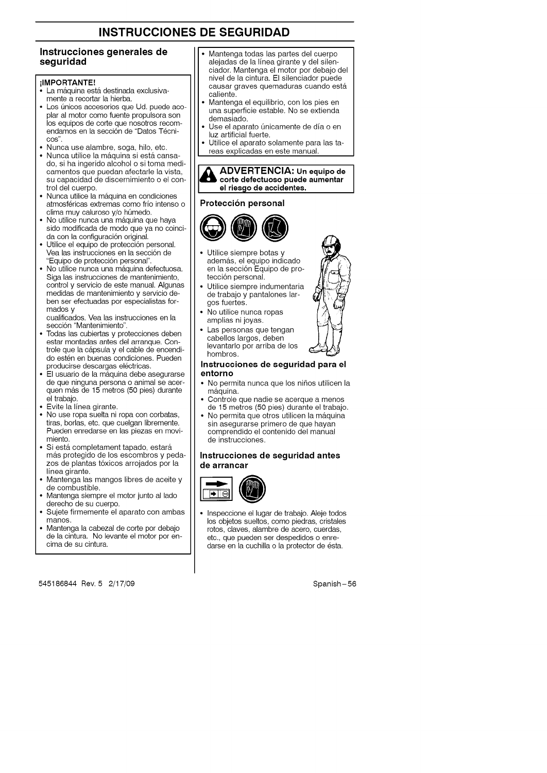#### **Instrucciones generales de seguridad**

#### **ilMPORTANTE!**

- La máquina está destinada exclusivamente a recortar la hierba.
- Los únicos accesorios que Ud. puede acoplar al motor como fuente propulsora son los equipos de corte que nosotros recomendamos en la sección de "Datos Técni-OOS".
- Nunca use alambre, soga, hilo, etc.
- Nunca utilice la máquina si está cansado, si ha ingerido alcohol o si toma medicamentos que puedan afectarle la vista, su capacidad de discernimiento o el control del cuerpo.
- Nunca utilice la máquina en condiciones atmosféricas extremas como frío intenso o clima muy caluroso y/o húmedo.
- No utilice nunca una m&quina que haya sido modificada de modo que ya no coincida con la configuración original.
- Utilice el equipo de protección personal. Vea las instrucciones en la sección de "Equipo de protecci6n personal".
- No utilice nunca una m&quina defectuosa. Siga las instrucciones de mantenimiento, control y servicio de este manual. Algunas medidas de mantenimiento y servicio deben ser efectuadas por especialistas formados y

cualificados. Vea las instrucciones en la sección "Mantenimiento".

- Todas las cubiertas y protecciones deben estar montadas antes del arranque. Controle que la cápsula y el cable de encendido esten en buenas condiciones. Pueden producirse descargas eléctricas.
- El usuario de la m&quina debe asegurarse de que ninguna persona o animal se acerquen m&s de 15 metros (50 pies) durante el trabajo.
- Evite la linea girante.
- No use ropa suelta ni ropa con corbatas, tiras, borlas, etc. que cuelgan libremente. Pueden enredarse en las piezas en movimiento.
- Si está completament tapado, estará más protegido de los escombros y pedazos de plantas tóxicos arrojados por la linea girante.
- Mantenga las mangos libres de aceite y de combustible.
- Mantenga siempre el motor junto al lado derecho de su cuerpo.
- Sujete firmemente el aparato con ambas manos.
- Mantenga la cabezal de corte por debajo de la cintura. No levante el motor por encima de su cintura.

545186844 Rev. 5 2/17/09 Spanish-56

- Mantenga todas las partes del cuerpo alejadas de la linea girante y del silenciador. Mantenga el motor por debajo del nivel de la cintura. El silenciador puede causar graves quemaduras cuando está caliente.
- Mantenga el equilibrio, con los pies en una superficie estable. No se extienda demasiado.
- Use el aparato únicamente de día o en luz artificial fuerte.
- Utilice el aparato solamente para las tareas explicadas en este manual.



#### **Proteccion personal**



- Utilice siempre botas y además, el equipo indicado además, el equipo indicado<br>en la sección Equipo de pro-<br>Utilice siempre indumentaria<br>de trabajo y pantalones lartección persona
- Utilice siempre indumentaria<br>de trabajo y pantalones largos fuertes.
- No utilice nunca ropas amplias ni joyas.
- Las personas que tengan cabellos largos, deben levantarlo por arriba de los hombros.

#### **Instrucciones de seguridad para el entorno**

- No permita nunca que los niños utilicen la máquina.
- Controle que nadie se acerque a menos de 15 metros (50 pies) durante el trabajo.
- No permita que otros utilicen la máquina sin asegurarse primero de que haya<br>comprendido el contenido del manua de instrucciones.

#### **Instrucciones de seguridad antes de arrancar**



• Inspeccione el lugar de trabajo. Aleje todos los objetos sueltos, como piedras, cristales rotos, claves, alambre de acero, cuerdas, etc., que pueden ser despedidos o enredarse en la cuchilla o la protector de ésta.

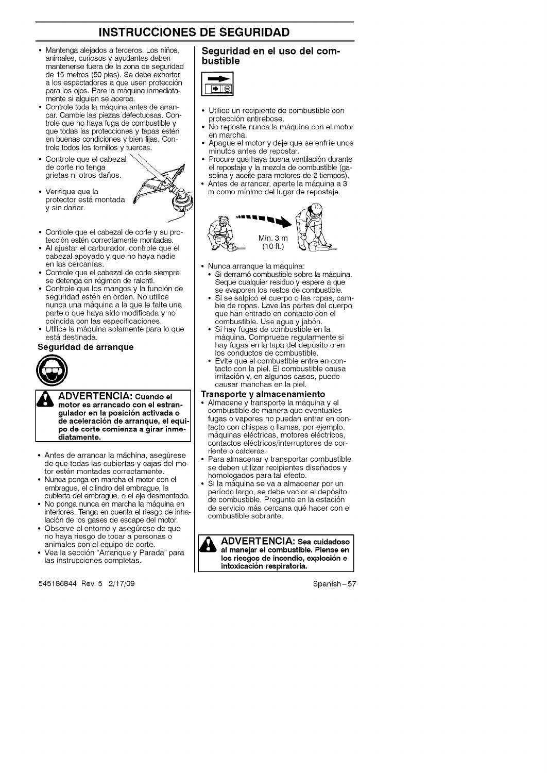- Mantenga alejados a terceros. Los niños, animales, curiosos y ayudantes deben mantenerse fuera de la zona de seguridad de 15 metros (50 pies). Se debe exhortar a los espectadores a que usen protección para los ojos. Pare la máquina inmediatamente si alguien se acerca.
- Controle toda la máquina antes de arrancar. Cambie las piezas defectuosas. Controle que no haya fuga de combustible y que todas las protecciones y tapas estén en buenas condiciones y bien fijas. Controle todos los tornillos y tuercas.
- Controle que el cabezal \\_'\_\ de corte no tenga grietas ni otros daños.
- Verifique que la protector está montada v sin dañar.



- Controle que el cabezal de corte y su protección estén correctamente montadas.
- AI ajustar el carburador, controle que el cabezal apoyado y que no haya nadie en las cercanias.
- Controle que el cabezal de corte siempre se detenga en régimen de ralentí.
- Controle que los mangos y la función de seguridad estén en orden. No utilice nunca una máquina a la que le falte una parte o que haya sido modificada y no coincida con las especificaciones.
- Utilice la m\_tquina solamente para Io que está destinada.

#### **Seguridad de arranque**



**ADVERTENCIA: Cuando el motor es arrancado con el estran-** J **gulador en la posici6n activada o** J **de aceleracion de arranque, el equi-J** J& **ADVERTENCIA: Cuando el ] po de corte comienza a girar inme-** J **diatamente. J**

- Antes de arrancar la máchina, asegúrese de que todas las cubiertas y cajas del motor estén montadas correctamente.
- Nunca ponga en marcha el motor con el embrague, el cilindro del embrague, la cubierta del embrague, o el eje desmontado.
- No ponga nunca en marcha la m&quina en interiores. Tenga en cuenta el riesgo de inhalación de los gases de escape del motor.
- Observe el entorno y asegúrese de que no haya riesgo de tocar a personas o animales con el equipo de corte.
- Vea la secci6n "Arranque y Parada" para las instrucciones completas.

545186844 Rev. 5 2/17/09 Spanish-57

#### **Seguridad en el use del combustible**



- Utilice un recipiente de combustible con protecci6n antirebose.
- No reposte nunca la máquina con el motor en marcha.
- Apague el motor y deje que se enfrie unos minutos antes de repostar.
- Procure que haya buena ventilación durante el repostaje y la mezcla de combustible (gasolina y aceite para motores de 2 tiempos).
- Antes de arrancar, aparte la máquina a 3 m como minimo del lugar de repostaje.



- Nunca arranque la m&quina:
- Si derramó combustible sobre la máquina. Seque cualquier residue y espere a que se evaporen los restos de combustible.
- Si se salpicó el cuerpo o las ropas, cambie de ropas. Lave las partes del cuerpo que han entrado en contacto con el combustible. Use agua y jabón.
- Si hay fugas de combustible en la máquina. Compruebe regularmente si hay fugas en la tapa del dep6sito o en los conductos de combustible.
- Evite que el combustible entre en contacto con la piel. El combustible causa irritaci6n y, en algunos cases, puede causar manchas en la piel.

#### **Transporte y almacenamiento**

- Almacene y transporte la máquina y el combustible de manera que eventuales fugas o vapores no puedan entrar en contacto con chispas o llamas, por ejemplo, máquinas eléctricas, motores eléctricos, contactos eléctricos/interruptores de corriente o calderas.
- Para almacenar y transportar combustible se deben utilizar recipientes diseñados y homologados para tal efecto.
- Si la máquina se va a almacenar por un periodo largo, se debe vaciar el dep6sito de combustible. Pregunte en la estación de servicio más cercana qué hacer con el combustible sobrante.

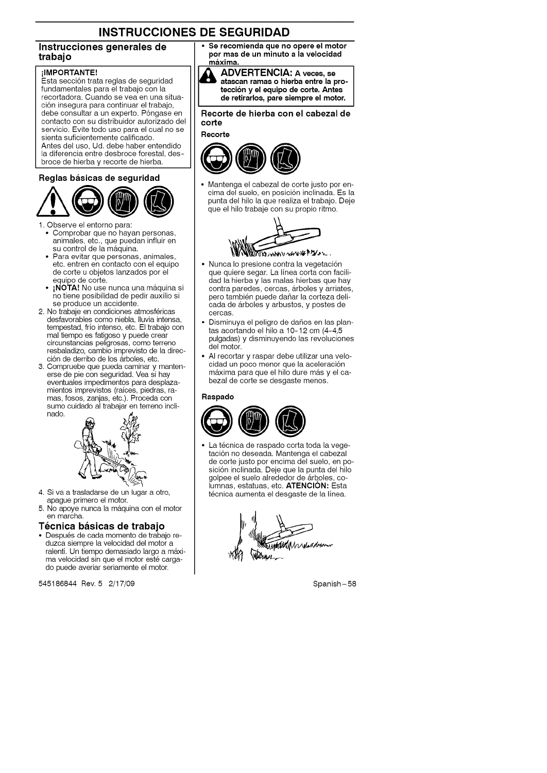#### **Instrucciones generales de trabajo**

#### ilMPORTANTE!

**.**.....<br>Esta sección trata reglas de seguridad fundamentales para el trabajo con la recortadora. Cuando se yea en una situaci6n insegura para continuar el trabajo, debe consultar a un experto. Póngase en contacto con su distribuidor autorizado del servicio. Evite todo uso para el cual no se sienta suficientemente calificado. Antes del uso, Ud. debe haber entendido la diferencia entre desbroce forestal, desbroce de hierba y recorte de hierba.

#### **Reglas** basicas **de seguridad**



1. Observe el entorno para:

- Comprobar que no hayan personas, animales, etc., que puedan influir en su control de la máquina.
- Para evitar que personas, animales, etc. entren en contacto con el equipo de corte u objetos lanzados por el equipo de corte.
- **iNOTA!** No use nunca una m&quina si no tiene posibilidad de pedir auxilio si se produce un accidente.
- 2. No trabaje en condiciones atmosféricas desfavorables come niebla, Iluvia intensa, tempestad, frio intenso, etc. El trabajo con mal tiempo es fatigoso y puede crear circunstancias peligrosas, como terreno resbaladizo, cambio imprevisto de la dirección de derribo de los árboles, etc.
- 3. Compruebe que pueda caminar y mantenerse de pie con seguridad. Yea si hay eventuales impedimentos para desplazamientos imprevistos (raices, piedras, ramas, fosos, zanjas, etc.). Proceda con sumo cuidado al trabajar en terreno incli nado.



- 4. Siva a trasladarse de un lugar a otro, apague primero el motor.
- 5. No apoye nunca la m&quina con el motor en marcha.

#### **Tecnica basicas de trabajo**

• Despu6s de cada momento de trabajo reduzca siempre la velocidad del motor a ralenti. Un tiempo demasiado largo a m\_txima velocidad sin que el motor esté cargado puede averiar seriamente el motor.

545186844 Rev. 5 2/17/09 Spanish-58

**•** Se **recomienda que no opere el motor** por **mas de un minuto a la velocidad maxima.**



**ADVERTENCIA: <sup>A</sup> veces, se atascan ramas <sup>o</sup> hierba entre la proteccion y el equipo de corte. Antes de retirarlos, pare siempre el motor.**

**Recorte de hierba con el cabezal de corte**

#### **Recorte**



• Mantenga el cabezal de corte justo por encima del suelo, en posición inclinada. Es la punta del hilo la que realiza el trabajo. Deje que el hilo trabaje con su propio ritmo.



• Nunca lo presione contra la vegetación

- que quiere segar. La linea corta con facilidad la hierba y las malas hierbas que hay contra paredes, cercas, &rboles y arriates, pero también puede dañar la corteza delicada de &rboles y arbustos, y postes de cercas.
- Disminuya el peligro de daños en las plantas acortando el hilo a 10-12 cm (4-4,5 pulgadas) y disminuyendo las revoluciones del motor.
- AI recortar y raspar debe utilizar una velocidad un poco menor que la aceleración máxima para que el hilo dure más y el cabezal de corte se desgaste menos.

#### **Raspado**



La técnica de raspado corta toda la vegetaci6n no deseada. Mantenga el cabezal de corte justo per encima del suelo, en posición inclinada. Deje que la punta del hilo golpee el suelo alrededor de &rboles, columnas, estatuas, etc. ATENCIÓN: Esta técnica aumenta el desgaste de la línea.

Wama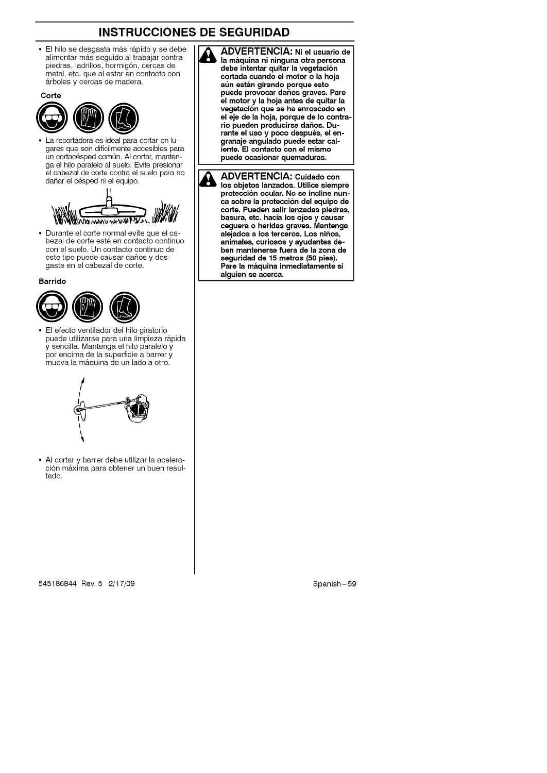**&**

El hilo se desgasta más rápido y se debe alimentar mas seguido al trabajar contr<br>piedras, ladrillos, hormigón, cercas de metal, etc. que al estar en contacto con árboles y cercas de madera.



• La recortadora es ideal para cortar en lugares que son dificilmente accesibles para un cortacésped común. Al cortar, mantenga el hilo paralelo al suelo. Evite presionar el cabezal de corte contra el suelo para no dañar el césped ni el equipo.



• Durante el corte normal evite que el cabezal de corte esté en contacto continuo con el suelo. Un contacto continue de este tipo puede causar daños y desgaste en el cabezal de corte.

**Barrido**



• El efecto ventilador del hilo giratorio puede utilizarse para una limpieza rápida y sencilla. Mantenga el hilo paralelo y per encima de la superficie a barrer y mueva la máquina de un lado a otro.



• AI cortar y barrer debe utilizar la aceleración máxima para obtener un buen resultado.

**ADVERTENCIA: Ni el usuario de la maquina ni ninguna otra persona debe intentar quitar la vegetaci6n cortada cuando** el **motor o la hoja at\_n estan girando porque esto puede provocar daftos graves. Pare el motor y la hoja antes de quitar la vegetaci6n que se ha enroscado en el eje de la hoja, porque de Io contrario pueden producirse da\_os. Durante el uso y poco despues, el engranaje angulado puede estar caliente. El contacto con el mismo puede ocasionar quemaduras.**

**& ADVERTENCIA: Cuidado con los objetos lanzados. Utilice siempre protecci6n ocular. No se incline nunca sobre la protecoi6n del equipo de corte. Pueden salir lanzadas piedras, basura, etc. hacia los ojos y causar ceguera o heridas graves. Mantenga alejados a los terceros. Los nif\_os, animales, curiosos y ayudantes deben mantenerse fuera de la zona de** seguridad **de 15 metros (50 pies). Pare la maquina inmediatamente** si **alguien** se **acerca.**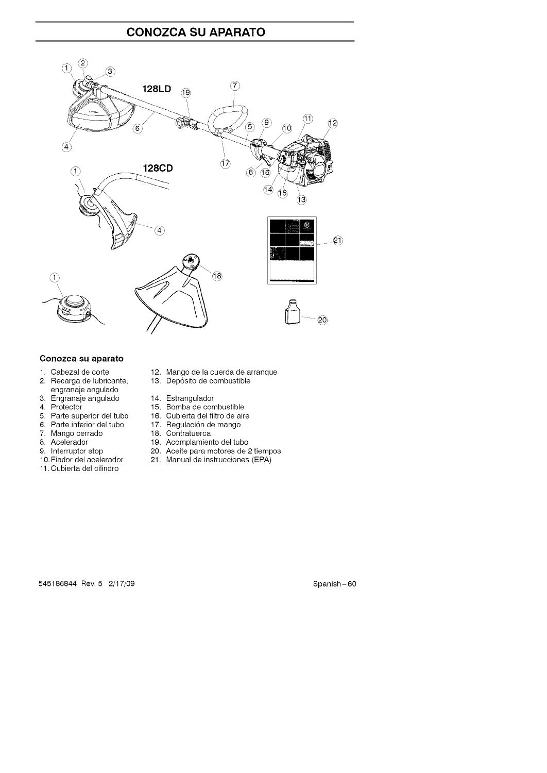### **CONOZCA SU APARATO**



### **Conozca su aparato**

- 1. Cabezal de cort
- 2. Recarga de lubricant engranaje angulado
- 3. Engranaje angulado
- 4. Protector
- 5. Parte superior del tubo
- 6. Parte inferior del tubo
- 7. Mango cerrado
- 8. Acelerador
- 9. Interruptor stop
- 10. Fiador del acelerador
- 11. Cubierta del cilindro
- 12. Mango de la cuerda de arranque
- 13. Depósito de combustib
- 14. Estrangulador
- 15. Bomba de combustible
- 16. Cubierta del filtro de aire
- 17. Regulación de mang
- 18. Contratuerca
- 19. Acomplamiento del tubo
- 20. Aceite para motores de 2 tiempos
- 21. Manual de instrucciones (EPA)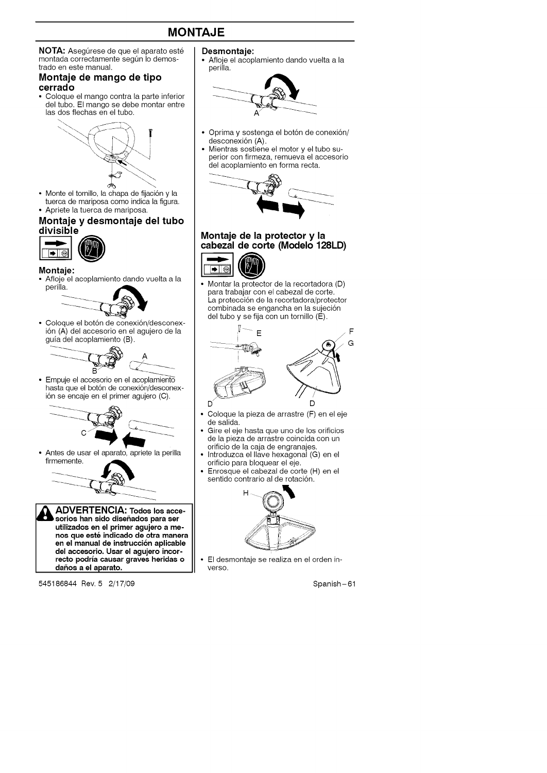### **MONTAJE**

**NOTA:** Asegúrese de que el aparato esté montada correctamente según lo demostrado en este manual.

#### **Montaje de mango de tipo cerrado**

• Coloque el mango contra la parte inferior del tubo. El mango se debe montar entre las dos flechas en el tube.



• Monte el tornillo, la chapa de fijación y la tuerca de mariposa como indica la figura. • Apriete la tuerca de mariposa.

#### **Montaje y desmontaje del tubo divisible**



#### **Montaje:**

• Afloje el acoplamiento dando vuelta a la perilla.



• Coloque el botón de conexión/desconexidn (A) del accesorio en el agujero de la guia del acoplamiento (8).



• Empule el accesorio en el acoplamiento hasta que el botón de conexión/desconexión se encaje en el primer agujero (C).



• Antes de usar el aparato, apriete la perilla firmemente.



**utilizados an el primer agujaro a menos que este indicado de otra manara en el manual de instruccion aplicable dal accesorio. Usar el agujero incorrecto podrla causar graves haridas o daftos a el aparato.**

545186844 Rev. 5 2/17/09 Spanish-61

#### **Desmontaje:**

• Afloje el acoplamiento dando vuelta a la perilla.



- **•** Oprima y sostenga el bot6n de conexi6n/ desconexión (A).
- **•** Mientras sostiene el motor y el tubo superior con firmeza, remueva el accesorio del acoplamiento en forms recta.



### **Montaje de la protector y la cabezal de corte (Modelo 128LD)**



• Montar la protector de la recortadora (D) pars trabajar con el cabezal de corte. La protecci6n de la recortadora/protector combinada se engancha en la sujeción del tubo y se fija con un tornillo (E).



- Coloque la pieza de arrastre (F) en el eje de salida.
- Gire el eje hasta que uno de los orificios de la pieza de arrastre coincida con un orificio de la caja de engranajes.
- Introduzca el Ilave hexagonal (G) en el orificio pars bloquear el eje.
- Enrosque el cabezal de corte (H) en el sentido contrario al de rotación.



• El desmontaje se realiza en el orden inverso.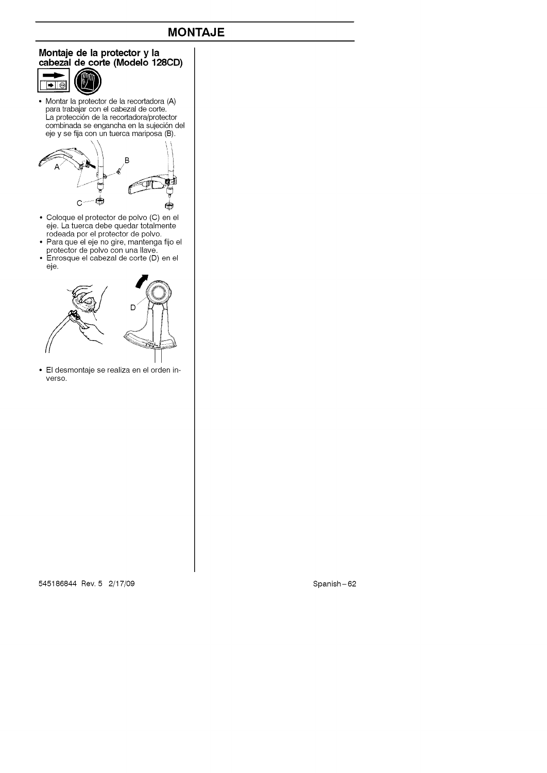### **MONTAJE**

#### **Montaje de la protector y la cabezal de corte (Modelo 128CD)**



• Nontar la protector de la recortadora (A) para trabajar con el cabezal de corte.<br>La protección de la recortadora/protec combinada se engancha en la sujeción de eje y se fija con un tuerca mariposa (B).



- Coloque el protector de polvo (C) en el eje. La tuerca debe quedar totalmen rodeada per el protector de polvo.
- Para que el eje no gire, mantenga fijo el protector de polvo con una Ilave.
- Enrosque el cabezal de corte (D) en el eje.



• El desmontaje se realiza en el orden inverso.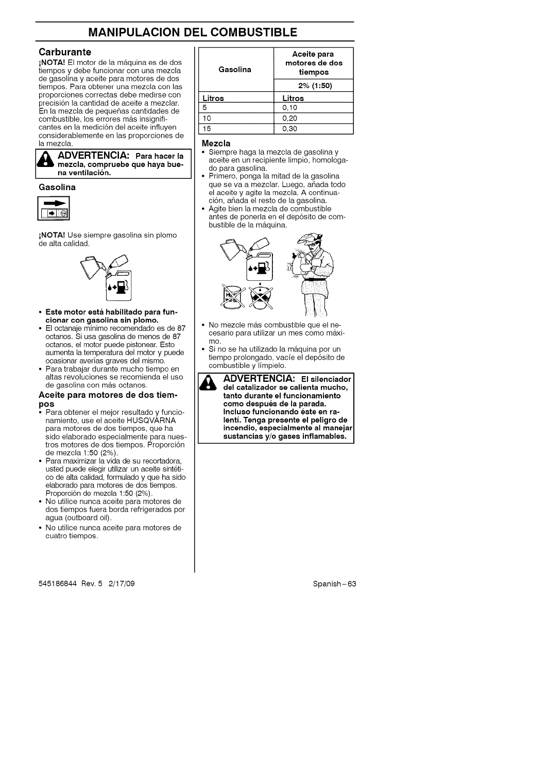### **MANIPULACION DEL COMBUSTIBLE**

#### **Carburante**

**¡NOTA!** El motor de la máquina es de dos tiempos y debe funcionar con una mezcla de gasolina y aceite para motores de dos tiempos. Para obtener una mezcla con las proporciones correctas debe medirse con precisi6n la cantidad de aceite a mezclar. .<br>En la mezcla de pequeñas cantidades de combustible, los errores más insignificantes en la medición del aceite influven considerablemente en las proporciones de la mezcla.

**ADVERTENCIA: Para hacer** la **mezcla, compruaba qua haya buena ventilacion.**

#### **Gasolina**



iNOTA! Use siempre gasolina sin plomo de alta calidad.



- **• Este motor esta habilitado para funcionar con gaaolina** sin **plomo.**
- El octanaje minimo recomendado es de 87 octanos. Si usa gasolina de menos de 87 octanos, el motor puede pistonear. Esto aumenta la temperatura del motor y puede ocasionar averias graves del mismo.
- Para trabajar durante mucho tiempo en altas revoluciones se recomienda el uso de gasolina con más octanos.

#### Aceite **para motores** de dos tiem**po8**

- Para obtener el mejor resultado y funcionamiento, use el aceite HUSQVÁRNA para motores de dos tiempos, que ha sido elaborado especialmente para nuestros motores de dos tiempos. Proporción de mezcla 1:50 (2%).
- Para maximizar la vida de su recortadora, usted puede elegir utilizar un aceite sintético de alta calidad, formulado y que ha sido elaborado para motores de dos tiempos. Proporción de mezcla 1:50 (2%).
- No utilice nunca aceite para motores de dos tiempos fuera borda refrigerados por agua (outboard oil).
- No utilice nunca aceite para motores de cuatro tiempos.

545186844 Rev. 5 2/17/09 Spanish-63

| Gasolina | Aceite para<br>motores de dos<br>tiempos |  |
|----------|------------------------------------------|--|
|          | 2% (1:50)                                |  |
| Litros   | Litros                                   |  |
| 5        | 0.10                                     |  |
| 10       | 0.20                                     |  |
| 15       | 0.30                                     |  |

#### **Mezcla**

- Siempre haga la mezcla de gasolina y aceite en un recipiente limpio, homologado para gasolina.
- Primero, ponga la mitad de la gasolina que se va a mezclar. Luego, añada todo el aceite y agite la mezcla. A continuación, añada el resto de la gasolina.
- Agite bien la mezcla de combustible
- antes de ponerla en el dep6sito de combustible de la máquina.



- No mezcle más combustible que el necesario para utilizar un mes como m\_tximo.
- Si no se ha utilizado la máquina por un tiempo prolongado, vacie el dep6sito de combustible y limpielo.
- **ADVERTENCIA: El ailenciador** I **del catalizador** se **calienta mucho,** I  $tan$  **tanto** durante el funcionamiento **como daspuea de la parada.** Incluso funcionando éste en ra**lenti. Tanga presante el paligro de incandio, aapecialmenta al manejar auatanc as y/o gases nf amab as.**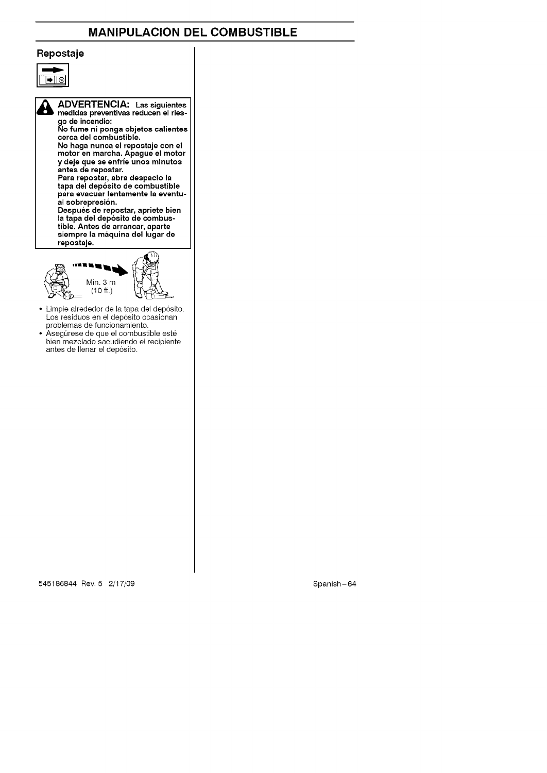### **MANIPULACION DEL COMBUSTIBLE**

#### **Repostaje**



**ADVERTENCIA: Las**siguientes **medidas preventivas reducen el ries-** $\mathbf{A}$ **go de incendio" No fume ni ponga objetos calientes cerca del combustible. No haga nunca el repostaje con el motor en marcha. Apague el motor y deje que se enfrJe unos minutos antes de repostar. Para repostar, abra despacio la tapa del dep6sito de combustible**

**para evacuar lentamente la eventual sobrepresion. Despues de repostar, apriete bien la tapa del dep6sito de combustible. Antes de arrancar, aparte** siempre **la maquina del lugar de repostaje.**



Limpie alrededor de la tapa del depósito. Los residuos en el depósito ocasionan problemas de funcionamien

◆ Asegurese de que el combustible este bien mezclado sacudiendo el recipiente antes de Ilenar el dep6sito.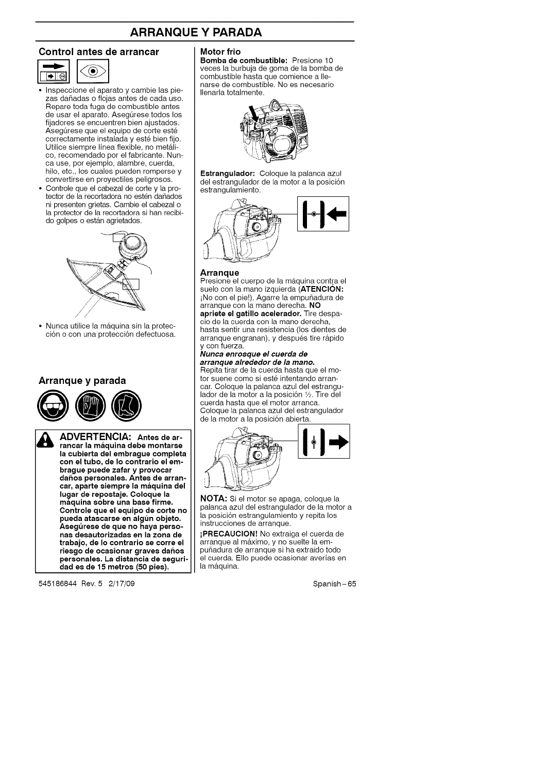### **ARRANQUE Y PARADA**

#### **Control antes de arrancar**



- Inspeccione el aparato y cambie las piezas dañadas o flojas antes de cada uso. Repare toda fuga de combustible antes de usar el aparato. Asegúrese todos los fijadores se encuentren bien ajustados. Asegúrese que el equipo de corte esté correctamente instalada y esté bien fijo. Utilice siempre línea flexible, no metálico, recomendado por el fabricante. Nunca use, por ejemplo, alambre, cuerda, hilo, etc., los cuales pueden romperse y convertirse en proyectiles peligrosos.
- **•** Controle que el cabezal de corte y la protector de la recortadora no estén dañados ni presenten grietas. Cambie el cabezal o la protector de la recortadora si han recibido golpes o están agrietados.



• Nunca utilice la máquina sin la protección o con una protección defectuosa.

#### **Arranque y parada**



**ADVERTENCIA: Antes de ar-rancar la m\_lquina daba montarsa la cubiarta del embrague complata con el tubo, de Io contrario el em**brague puede zafar y provocar<br>daños personales. Antes de arran **car, aparte** siempra **la m\_lquina del lu\_lar de repoataje. Coloque la maqulna** sobre **una base firme. Controle que el aquipo de corte no pueda atascarae en alg\_n objeto. Aseg\_reaa de qua no haya personas desautorizadas en la zona de trabajo, de Io contrario ae corre** el **riesgo** de ocasionar graves daños **parsonalas. La distancia de aeguridad as de 15 metros (50 pies).**

545186844 Rev. 5 2/17/09 Spanish-65

#### **Motor frio**

**Bomba de combustible: Presione 10** veces la burbuja de goma de la bomba de combustible hasta que comience a Ilenarse de combustible. No es necesario Ilenarla totalmente.



**Estrangulador:** Coloque la palanca azul del estrangulador de la motor a la posición estrangulamiento.



#### **Arranque**

Presione el cuerpo de la máquina contra el suelo con la mano izquierda (**ATENCIÓN:** ¡No con el pie!). Agarre la empuñadura de arranque con la mano derecha. NO **apriete el gatillo acelerador,** Tire despacio de la cuerda con la mano derecha, hasta sentir una resistencia (los dientes de arranque engranan), y después tire rápido y con fuerza.

#### **Nunca enrosque el cuerda de arranque alrededor de la mano.**

Repita tirar de la cuerda hasta que el motor suene como si esté intentando arrancar. Coloque la palanca azul del estrangulador de la motor a la posición 1/2. Tire del cuerda hasta que el motor arranca. Coloque la palanca azul del estrangulador de la motor a la posición abierta.



**NOTA:** Si el motor se apaga, coloque la palanca azul del estrangulador de la motor a la posición estrangulamiento y repita los instrucciones de arranque.

iPRECAUClON! No extraiga el cuerda de arranque al m&ximo, y no suelte la empunadura de arranque si ha extraido todo el cuerda. EIIo puede ocasionar averias en la máquina.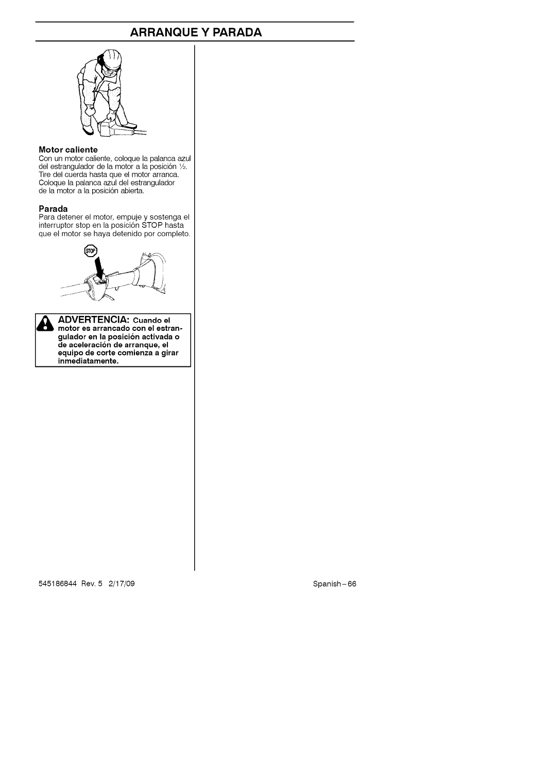### **ARRANQUE Y PARADA**



#### **Motor caliente**

Con un motor caliente, coloque la palanca azu<br>del estrangulador de la motor a la posición ½. Tire del cuerda hasta que el motor arranca. Coloque la palanca azul del estrangulador de la motor a la posición abierta.

#### **Parada**

Para detener el motor, empuje y sostenga el interruptor stop en la posición STOP hasta<br>que el motor se haya detenido por complet



A motor **es arrancado con el estrangulador** en **la posici6n activada o de aceleraci6n de arranque, el** I& **ADVERTENCIA: Cuando el equipo de corte comienza a girar inmediatamente.**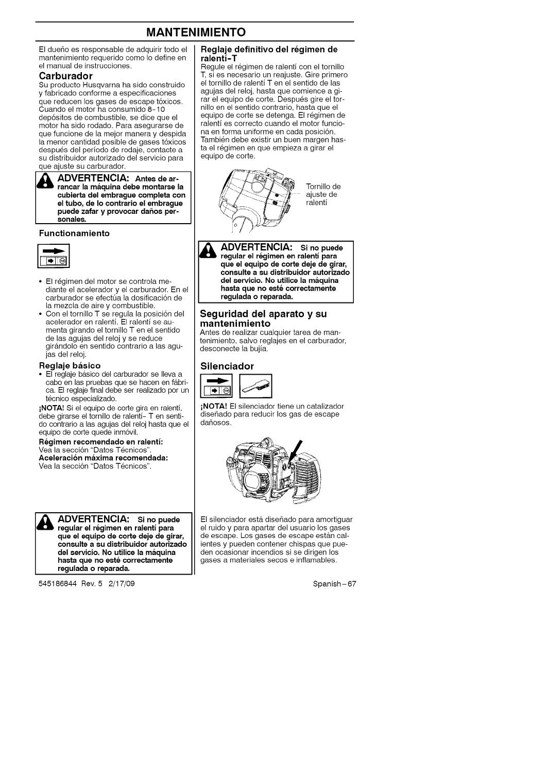### **MANTENIMIENTO**

El dueño es responsable de adquirir todo el mantenimiento requerido como Io define en el manual de instrucciones.

#### **Carburador**

Su producto Husqvarna ha sido construido y fabricado conforme a especificaciones que reducen los gases de escape tóxico<br>Cuando el motor ha consumido 8-10 dep6sitos de combustible, se dice que el motor ha sido rodado. Para asegurarse de que funcione de la mejor manera y despida la menor cantidad posible de gases t6xicos después del período de rodaje, contacte a su distribuidor autorizado del servicio para que ajuste su carburador.

ADVERTENCIA: Antes de ar**rancar la maquina debe montarse la cubierta del embrague completa con el tubo, de Io contrario el embrague**  $\begin{bmatrix} 1 & 0 & 0 \\ 0 & 0 & 0 \end{bmatrix}$  be the community of the puede zafar y provocar daños per **sonales.** 

#### **Functionamiento**



- **°** El r\_gimen del motor se controla mediante el acelerador y el carburador. En el carburador se efectúa la dosificación de la mezcla de aire y combustible.
- Con el tornillo T se regula la posici6n del acelerador en ralenti. El ralenti se aumenta girando el tornillo Ten el sentido de las agujas del reloj y se reduce gir&ndolo en sentido contrario a las agujas del reloj.

#### **Reglaje basico**

• El reglaje básico del carburador se lleva a cabo en las pruebas que se hacen en fábrica. El reglaje final debe ser realizado por un técnico especializado.

iNOTA! Si el equipo de corte gira en ralenti, debe girarse el tornillo de ralenti- Ten sentido contrario a las agujas del reloj hasta que el equipo de corte quede inmóvil.

**Regimen recomendado en ralenti:** Vea la sección "Datos Técnicos" **Aceleracion maxima recemendada:** Vea la sección "Datos Técnicos".



**ADVERTENCIA:** Si no puede **regular el regimen en ralentl para que el equipo de corte deje de girar, conaulte a su diatribuidor autorizado del servicio. No utilice la maquina** I& **ADVERTENCIA:** si **no puede haata que no este correctamente regulada o reparada.**

545186844 Rev. 5 2/17/09

#### **Reglaje definitivo del regimen de ralenti-T**

Regule el régimen de ralentí con el tornillo T, si es necesario un reajuste. Gire primero el tornillo de ralenti T en el sentido de las agujas del reloj, hasta que comience a girar el equipo de corte. Después gire el tor nillo en el sentido contrario, hasta que el equipo de corte se detenga. El r\_gimen de ralenti es correcto cuando el motor funciona en forma uniforme en cada posición. También debe existir un buen margen hasta el régimen en que empieza a girar el equipo de corte.



**ADVERTENCIA: Si no puede regular el regimen en ralentl para** A **que el equipo de corte deje de girar, conaulte a su diatribuidor autorizado del servicio. No utilice la maquina hasta que no eat\_ correctamente regulada o reparada.**

#### **Seguridad del aparato y su mantenimiento**

Antes de realizar cualquier tarea de mantenimiento, salvo reglajes en el carburador, desconecte la bujia.

#### **Silenciador**



iNOTA! El silenciador tiene un catalizador diseñado para reducir los gas de escape dañosos.



El silenciador está diseñado para amortiguar el ruido y para apartar del usuario los gases de escape. Los gases de escape están calientes y pueden contener chispas que pueden ocasionar incendios si se dirigen los gases a materiales secos e inflamables.

Spanish-67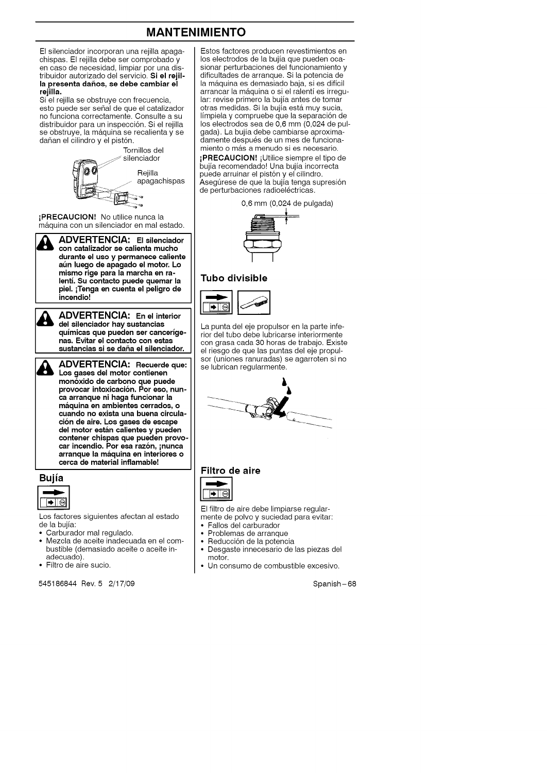### **MANTENIMIENTO**

El silenciador incorporan una rejilla apagachispas. El rejilla debe ser comprobado y en caso de necesidad, limpiar por una distribuidor autorizado del servicio. Si el rejil**la presenta daftos, se debe cambiar el rejilla.**

Si el rejilla se obstruye con frecuencia, esto puede ser señal de que el catalizador no funciona correctamente. Consulte a su distribuidor para un inspección. Si el rejilla se obstruye, la máquina se recalienta y se dañan el cilindro y el pistón.



iPRECAUClON! No utilice nunca la m&quina con un silenciador en mal estado.



ADVERTENCIA: El silenciador **con catalizador** se **calienta mucho durante el uso y permanece caliente at\_n luego de apagado el motor. Lo mismo rige para la marcha** en **ra-**Id\_lb **DVERTENCIA: El** silenciador **lentl. Su contacto puede quemar la piel.** iTenga **en cuenta el peligro de incendio!**



**ADVERTENCIA:** En el interior **del silenciador hay** sustancias **qulmicas que pueden** ser **cancerlge-**Id\_lb **DVERTENCIA: En el interior nas. Evitar el contacto con estas sustancias si** se **dafta el silenciador.**

**ADVERTENCIA: Recuerde que: Los gases del motor contienen** H. **monoxido de carbono que puede provocar intoxicaci6n. Por eso, nunca arranque ni haga funcionar la maquina en ambientes** carrados, **o cuando no exista una buena circulacion de aire. Los gases de escape del motor estan calientes y pueden contener chispas que pueden provocar incendio. Por eca razon,** inunca **arranque la maquina en interiores o** carca **de material inflamable!**

#### **Bujia**



Los factores siguientes afectan al estado de la bujia:

- Carburador mal regulado.
- Mezcla de aceite inadecuada en el combustible (demasiado aceite o aceite inadecuado).
- Filtro de aire sucio.

545186844 Rev. 5 2/17/09 Spanish-68

Estos factores producen revestimientos en los electrodos de la bujia que pueden ocasionar perturbaciones del funcionamiento y dificultades de arranque. Si la potencia de la máquina es demasiado baja, si es difícil arrancar la m&quina o si el ralenti es irregular: revise primero la bujia antes de tomar otras medidas. Si la bujía está muy sucia, limpiela y compruebe que la separaci6n de los electrodos sea de 0,6 mm (0,024 de pulgada). La bujia debe cambiarse aproximadamente despues de un mes de funcionamiento o más a menudo si es necesario.

**¡PRECAUCION!** ¡Utilice siempre el tipo de bujia recomendado! Una bujia incorrecta puede arruinar el pistón y el cilindro. Asegúrese de que la bujía tenga supresión de perturbaciones radioeléctricas.





#### **Tubo divisible**



La punta del eje propulsor en la parte inferior del tubo debe lubricarse interiormente con grasa cada 30 horas de trabajo. Existe el riesgo de que las puntas del eje propulsor (uniones ranuradas) se agarroten si no se lubrican regularmente.



## **Filtro de aire**



El filtro de aire debe limpiarse regularmente de polvo y suciedad para evitar:

- Fallos del carburador
- Problemas de arranque
- Reducción de la potencia
- Desgaste innecesario de las piezas del motor.
- Un consumo de combustible excesivo.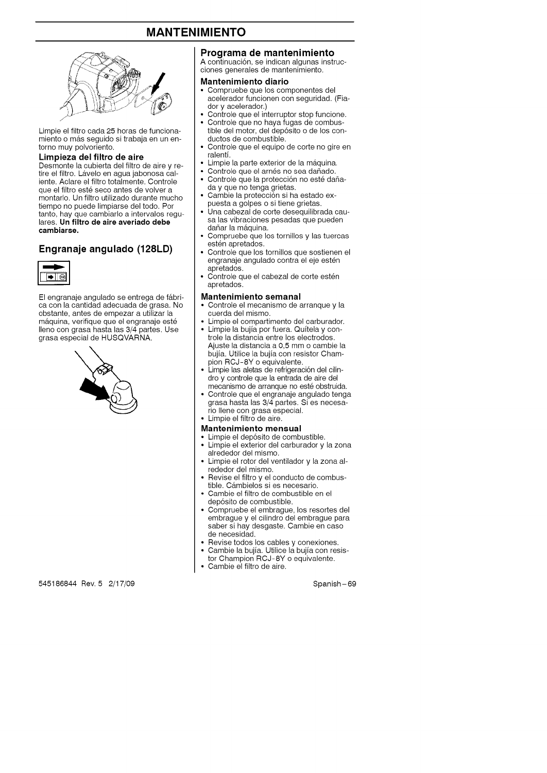### **MANTENIMIENTO**



Limpie el filtro cada 25 horas de funcionamiento o más seguido si trabaja en un entorno muy polvoriento.

#### **Limpieza del filtro de aire**

Desmonte la cubierta del filtro de aire y retire el filtro. Lávelo en agua jabonosa caliente. Aclare el filtro totalmente. Controle que el filtro esté seco antes de volver a montarlo. Un filtro utilizado durante mucho tiempo no puede limpiarse del todo. Por tanto, hay que cambiarlo a intervalos regulares, **Un filtro de aire averiado debe cambiarse.**

#### **Engranaje angulado (128LD)**



El engranaje angulado se entrega de fábrica con la cantidad adecuada de grasa. No obstante, antes de empezar a utilizar la máquina, verifique que el engranaje esté Ileno con grasa hasta las 3/4 partes. Use grasa especial de HUSQVARNA.



#### **Programa de mantenimiento**

A continuación, se indican algunas instrucciones generales de mantenimiento.

#### **Mantenimiento diario**

- Compruebe que los componentes del acelerador funcionen con seguridad. (Fiador y acelerador.)
- Controle que el interruptor stop funcione.
- Controle que no haya fugas de combustible del motor, del dep6sito o de los conductos de combustible.
- Controle que el equipo de corte no gire en ralenti.
- Limpie la parte exterior de la máquina.
- Controle que el arnés no sea dañado.
- Controle que la protección no esté dañaday que no tenga grietas.
- Cambie la protección si ha estado expuesta a golpes o si tiene grietas.
- Una cabezal de corte desequilibrada causa las vibraciones pesadas que pueden dañar la máquina.
- Compruebe que los tornillos y las tuercas estén apretados.
- Controle que los tornillos que sostienen el engranaje angulado contra el eje estén apretados.
- Controle que el cabezal de corte estén apretados.

#### **Mantenimiento semanal**

- Controle el mecanismo de arranque y la cuerda del mismo.
- Limpie el compartimento del carburador.
- Limpie la bujía por fuera. Quitela y controle la distancia entre los electrodos. Ajuste la distancia a 0,5 mm o cambie la bujia. Utilice la bujia con resistor Champion RCJ-8Y o equivalente.
- Limpie las aletas de refrigeración del cilindro y controle que la entrada de aire del mecanismo de arranque no esté obstruida.
- Controle que el engranaje angulado tenga grasa hasta las 3/4 partes. Si es necesario Ilene con grasa especial.
- Limpie el filtro de aire.
- **Mantenimiento mensual**
- Limpie el dep6sito de combustible.
- Limpie el exterior del carburador y la zona alrededor del mismo.
- Limpie el rotor del ventilador y la zona alrededor del mismo.
- Revise el filtro y el conducto de combustible. Cámbielos si es necesario.
- Cambie el filtro de combustible en el dep6sito de combustible.
- Compruebe el embrague, los resortes del embrague y el cilindro del embrague para saber si hay desgaste. Cambie en case de necesidad.
- Revise todos los cables y conexiones.
- Cambie la bujia. Utilice la bujia con resistor Champion RCJ-8Y o equivalente.
- Cambie el filtro de aire.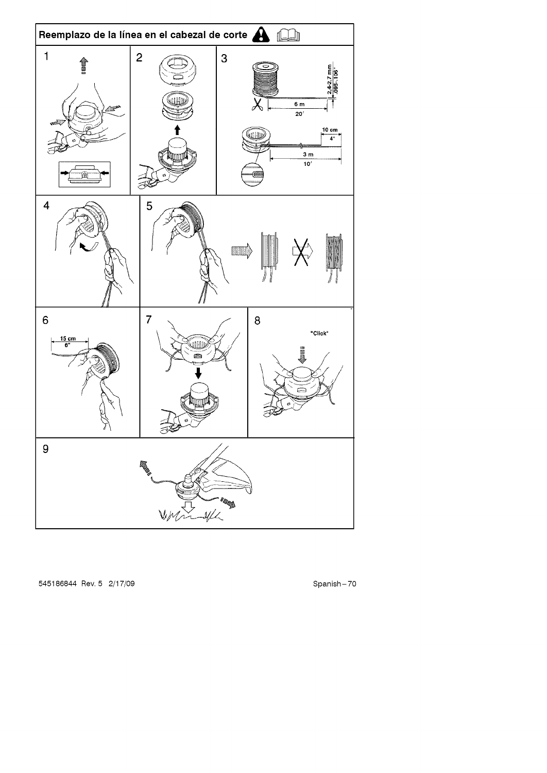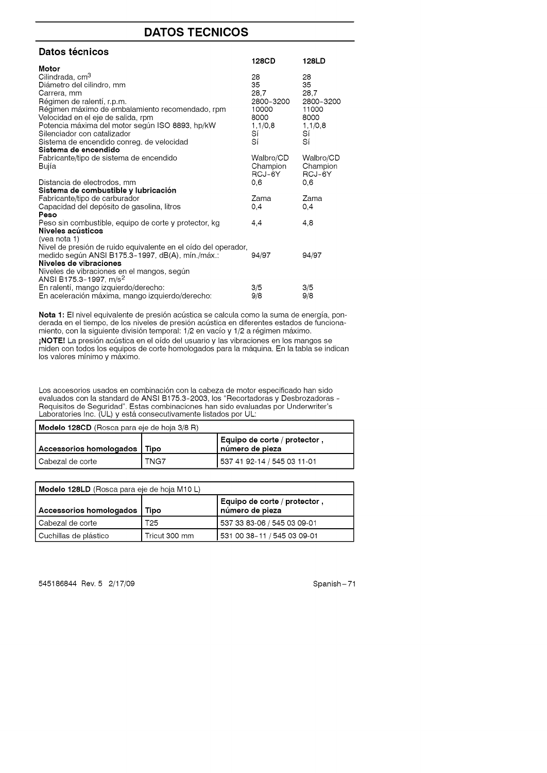### **DATOS TECNICOS**

| Datos técnicos                                                                 | 128CD         | 128LD         |
|--------------------------------------------------------------------------------|---------------|---------------|
| Motor                                                                          |               |               |
| Cilindrada, cm <sup>3</sup>                                                    | 28            | 28            |
| Diámetro del cilindro, mm                                                      | 35            | 35            |
| Carrera, mm                                                                    | 28,7          | 28,7          |
| Régimen de ralentí, r.p.m.                                                     | 2800-3200     | 2800-3200     |
| Régimen máximo de embalamiento recomendado, rpm                                | 10000         | 11000         |
| Velocidad en el eje de salida, rpm                                             | 8000          | 8000          |
| Potencia máxima del motor según ISO 8893, hp/kW<br>Silenciador con catalizador | 1,1/0,8<br>Sí | 1,1/0,8<br>Sí |
| Sistema de encendido conreg. de velocidad                                      | Sí            | Sí            |
| Sistema de encendido                                                           |               |               |
| Fabricante/tipo de sistema de encendido                                        | Walbro/CD     | Walbro/CD     |
| Bujía                                                                          | Champion      | Champion      |
|                                                                                | RCJ-6Y        | RCJ-6Y        |
| Distancia de electrodos, mm                                                    | 0.6           | 0.6           |
| Sistema de combustible y lubricación                                           |               |               |
| Fabricante/tipo de carburador                                                  | Zama          | Zama          |
| Capacidad del depósito de gasolina, litros                                     | 0,4           | 0,4           |
| Peso<br>Peso sin combustible, equipo de corte y protector, kg                  | 4,4           | 4,8           |
| Niveles acústicos                                                              |               |               |
| (vea nota 1)                                                                   |               |               |
| Nivel de presión de ruido equivalente en el oído del operador,                 |               |               |
| medido según ANSI B175.3-1997, dB(A), mín./máx.:                               | 94/97         | 94/97         |
| Niveles de vibraciones                                                         |               |               |
| Niveles de vibraciones en el mangos, según                                     |               |               |
| ANSI B175.3-1997, m/s <sup>2</sup>                                             |               |               |
| En ralentí, mango izquierdo/derecho:                                           | 3/5           | 3/5           |
| En aceleración máxima, mango izquierdo/derecho:                                | 9/8           | 9/8           |

Nota 1: El nivel equivalente de presión acústica se calcula como la suma de energía, ponderada en el tiempo, de los niveles de presión acústica en diferentes estados de funcionamiento, con la siguiente división temporal: 1/2 en vacío y 1/2 a régimen máximo. **¡NOTE!** La presión acústica en el oído del usuario y las vibraciones en los mangos se miden con todos los equipos de corte homologados para la máquina. En la tabla se indican los valores minimo y m&ximo.

Los accesorios usados en combinaci6n con la cabeza de motor especificado han sido evaluados con la standard de ANSI B175.3-2003, los "Recortadoras y Desbrozadoras - Hequisitos de Seguridad″. Estas combinaciones han sido evaluadas por Underwrite<br>Laboratories Inc. (UL) y está consecutivamente listados por UL:

| <b>Modelo 128CD</b> (Rosca para eje de hoja 3/8 R) |      |                                                    |  |
|----------------------------------------------------|------|----------------------------------------------------|--|
| Accessorios homologados   Tipo                     |      | ' Equipo de corte / protector ,<br>número de pieza |  |
| Cabezal de corte                                   | TNG7 | 537 41 92-14 / 545 03 11-01                        |  |

| <b>Modelo 128LD</b> (Rosca para eje de hoja M10 L) |               |                                                 |  |
|----------------------------------------------------|---------------|-------------------------------------------------|--|
| Accessorios homologados                            | Tipo          | Equipo de corte / protector.<br>número de pieza |  |
| l Cabezal de corte                                 | T25           | 537 33 83-06 / 545 03 09-01                     |  |
| Cuchillas de plástico                              | Tricut 300 mm | 531 00 38-11 / 545 03 09-01                     |  |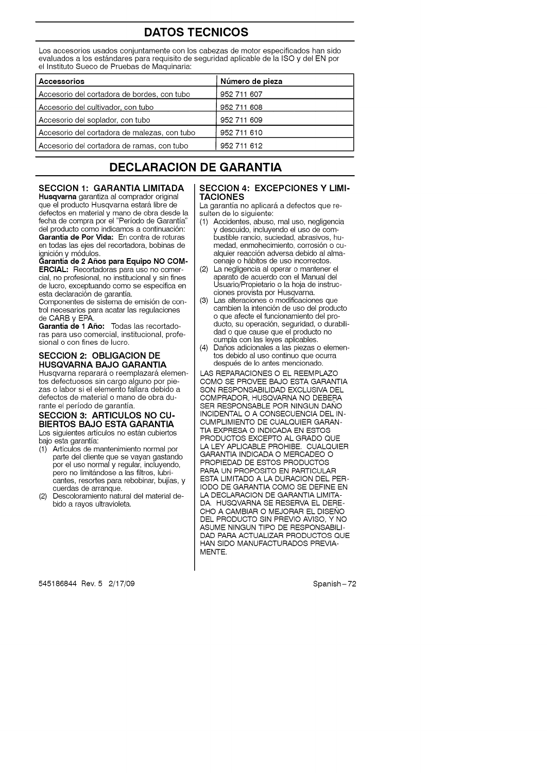### **DATOS TECNICOS**

Los accesorios usados conjuntamente con los cabezas de motor especificados han sido evaluados a los estándares para requisito de seguridad aplicable de la ISO y del EN por el Instituto Sueco de Pruebas de Maquinaria:

| Accessorios                                  | Número de pieza |
|----------------------------------------------|-----------------|
| Accesorio del cortadora de bordes, con tubo  | 952 711 607     |
| Accesorio del cultivador, con tubo           | 952 711 608     |
| Accesorio del soplador, con tubo             | 952 711 609     |
| Accesorio del cortadora de malezas, con tubo | 952 711 610     |
| Accesorio del cortadora de ramas, con tubo   | 952 711 612     |
|                                              |                 |

### **DECLARACION DE GARANTIA**

#### **SECCION 1: GARANTIA LIMITADA**

**Husqvarna** garantiza al comprador original que el producto Husqvarna estará libre de defectos en material y mano de obra desde la fecha de compra por el "Periodo de Garantia del producto como indicamos a continuación: **Garantla de Por Vida:** En contra de roturas en todas las ejes del recortadora, bobinas de ignici6n y m6dulos.

#### **Garantia de 2 A\_os para Equipo NO COM-ERCIAL:** Recortadoras para uso no comer-

cial, no profesional, no institucional y sin fines de lucro, exceptuando como se especifica en esta declaración de garantía.

Componentes de sistema de emisi6n de control necesarios para acatar las regulaciones de CARB y EPA.

**Garantla de 1 A\_o:** Todas las recortadoras para uso comercial, institucional, profesional o con fines de lucro.

#### **SECCION 2: OBLIGACION DE HUSQVARNA BAJO GARANTIA**

Husqvarna reparará o reemplazará elementos defectuosos sin cargo alguno por piezas o labor si el elemento fallara debido a defectos de material o mano de obra durante el periodo de garantia.

#### **SECCION 3: ARTICULOS NO CU-BIERTOS BAJO ESTA GARANTIA**

Los siguientes artículos no están cubiertos bajo esta garantia:

- (1) Articulos de mantenimiento normal por parte del cliente que se vayan gastando por el uso normal y regular, incluyendo, pero no limitándose a las filtros, lubricantes, resortes para rebobinar, bujias, y cuerdas de arranque.
- (2) Descoloramiento natural del material debido a rayos ultravioleta.

#### **SECCION 4: EXCEPCIONES Y LIMI-TACIONES**

La garantía no aplicará a defectos que resulten de lo siguiente:<br>(1) Accidentes, abuso

- Accidentes, abuso, mal uso, negligencia y descuido, incluyendo el uso de combustible rancio, suciedad, abrasivos, humedad, enmohecimiento, corrosión o cualquier reacción adversa debido al almacenaje o hábitos de uso incorrectos.
- (2) La negligencia al operar o mantener el aparato de acuerdo con el Manual del Usuario/Propietario o la hoja de instrucciones provista por Husqvarna.
- (3) I\_as alteraciones o modificaciones que cambien la intención de uso del producto o que afecte el funcionamiento del producto, su operación, seguridad, o durabilidad o que cause que el producto no cumpla con las leyes aplicables.
- (4) Daños adicionales a las piezas o elementos debido al uso continuo que ocurra después de lo antes mencionado.

LAS REPARACIONES O EL REEMPLAZO COMO SE PROVEE BAJO ESTA GARANTIA SON RESPONSABILIDAD EXCLUSIVA DEL COMPRADOR, HUSQVARNA NO DEBERA SER RESPONSABLE POR NINGUN DANO INCIDENTAL O A CONSECUENCIA DEL IN-CUMPLIMIENTO DE CUALQUIER GARAN-TIA EXPRESA O INDICADA EN ESTOS PRODUCTOS EXCEPTO AL GRADO QUE LA LEY APLICABLE PROHIBE. CUALQUIER GARANTIA INDICADA O MERCADEO O PROPIEDAD DE ESTOS PRODUCTOS PARA UN PROPOSITO EN PARTICULAR ESTA LIMITADO A LA DURACION DEL PER-IODO DE GARANTIA COMO SE DEFINE EN LA DECLARACION DE GARANTIA LIMITA-DA. HUSQVARNA SE RESERVA EL DERE-CHO A CAMBIAR O MEJORAR EL DISEÑO DEL PRODUCTO SIN PREVlO AVISO, Y NO ASUME NINGUN TIPO DE RESPONSABILI-DAD PARA ACTUALIZAR PRODUCTOS QUE HAN SIDO MANUFACTURADOS PREVlA-MENTE.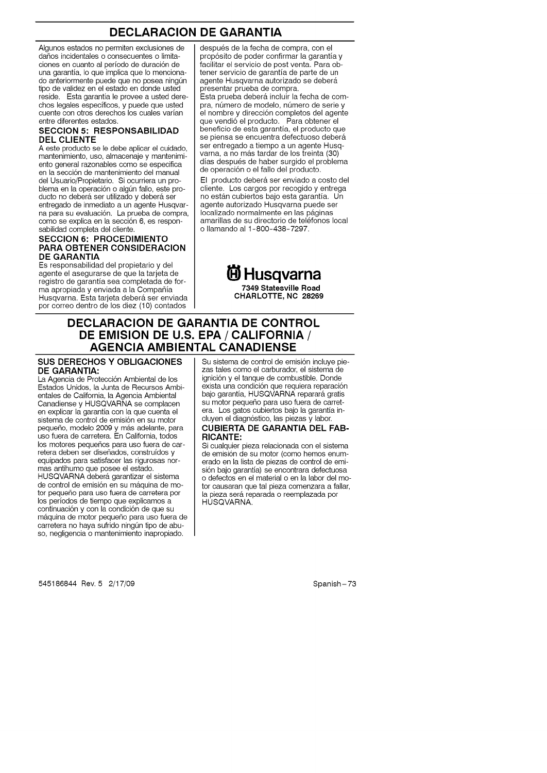### **DECLARACION DE GARANTIA**

Algunos estados no permiten exclusiones de daños incidentales o consecuentes o limitaciones en cuanto al período de duración de una garantia, Io que implica que Io mencionado anteriormente puede que no posea ningún tipo de validez en el estado en donde usted reside. Esta garantia le provee a usted derechos legales especificos, y puede que usted cuente con otros derechos los cuales varian entre diferentes estados.

#### **SECCION 5: RESPONSABILIDAD DEL CLIENTE**

A este producto se le debe aplicar el cuidado, mantenimiento, uso, almacenaje y mantenimiento general razonables como se especifica en la sección de mantenimiento del manual del Usuario/Propietario. Si ocurriera un problema en la operación o algún fallo, este producto no deberá ser utilizado y deberá ser entregado de inmediato a un agente Husqvarna para su evaluación. La prueba de compra, como se explica en la sección 6, es responsabilidad completa del cliente.

#### **SECCION 6: PROCEDIMIENTO PARA OBTENER CONSIDERACION DE GARANTIA**

Es responsabilidad del propietario y del agente el asegurarse de que la tarjeta de registro de garantia sea completada de forma apropiada y enviada a la Compa\_ia Husqvarna. Esta tarjeta deberá ser enviada por correo dentro de los diez (10) contados

después de la fecha de compra, con el prop6sito de poder confirmar la garantia y facilitar el servicio de post venta. Para obtener servicio de garantia de parte de un agente Husqvarna autorizado se deberá presentar prueba de compra. Esta prueba deberá incluir la fecha de compra, número de modelo, número de serie y el nombre y dirección completos del agente que vendió el producto. Para obtener el beneficio de esta garantia, el producto que se piensa se encuentra defectuoso deberá ser entregado a tiempo a un agente Husqvarna, a no más tardar de los treinta (30) días después de haber surgido el problema de operaci6n o el fallo del producto.

El producto deber& ser enviado a costo del cliente. Los cargos por recogido y entrega no están cubiertos bajo esta garantía. Un agente autorizado Husqvarna puede ser localizado normalmente en las páginas amarillas de su directorio de teléfonos local o Ilamando al 1-800-438-7297.



### **DECLARACION DE GARANTIA DE CONTROL DE EMISION DE U.S. EPA/CALIFORNIA/ AGENCIA AMBIENTAL CANADIENSE**

#### **SUS DERECHOS Y** OBLIGACIONES **DE GARANTIA:**

La Agencia de Protección Ambiental de los Estados Unidos, la Junta de Recursos Ambientales de California, la Agencia Ambiental Canadiense y HUSQVARNA se complacen en explicar la garantia con la que cuenta el sistema de control de emisión en su motor pequeño, modelo 2009 y más adelante, para uso fuera de carretera. En California, todos los motores pequeños para uso fuera de carretera deben ser diseñados, construídos y equipados para satisfacer las rigurosas normas antihumo que posee el estado. HUSQVARNA deberá garantizar el sistema de control de emisión en su máquina de motor pequeño para uso fuera de carretera por los periodos de tiempo que explicamos a continuación y con la condición de que su máquina de motor pequeño para uso fuera de carretera no haya sufrido ningún tipo de abuso, negligencia o mantenimiento inapropiado.

Su sistema de control de emisión incluye piezas tales como el carburador, el sistema de ignición y el tanque de combustible. Donde exista una condición que requiera reparación bajo garantía, HUSQVARNA reparará gratis su motor pequeño para uso fuera de carretera. Los gatos cubiertos bajo la garantia incluyen el diagn6stico, las piezas y labor.

#### **CUBIERTA DE GARANTIA** DEL **FAB-RICANTE:**

Si cualquier pieza relacionada con el sistema de emisión de su motor (como hemos enumerado en la lista de piezas de control de emisión bajo garantía) se encontrara defectuosa o defectos en el material o en la labor del motor causaran que tal pieza comenzara a fallar, la pieza será reparada o reemplazada por HUSQVARNA.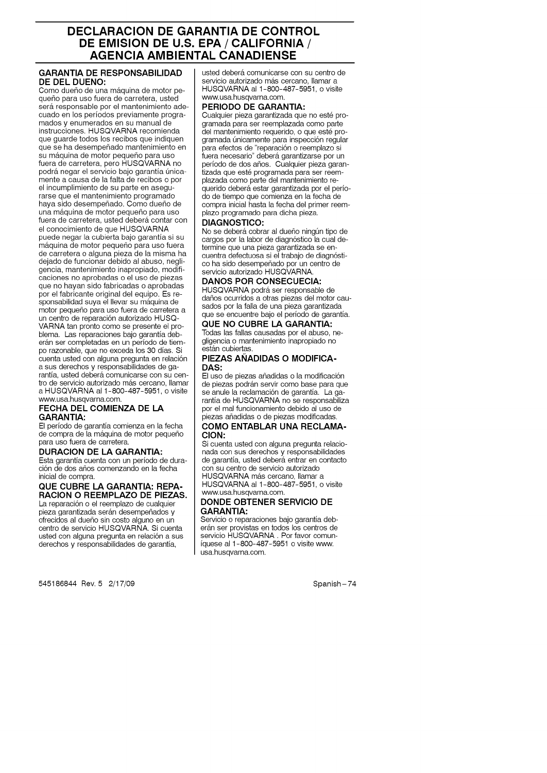### **DECLARACION DE GARANTIA DE CONTROL DE EMISION DE U.S. EPA/CALIFORNIA/ AGENCIA AMBIENTAL CANADIENSE**

#### **GARANTIA DE RESPONSABILIDAD DE DEL DUENO:**

Como dueño de una máquina de motor pequeffo para uso fuera de carretera, usted será responsable por el mantenimiento adecuado en los periodos previamente programados y enumerados en su manual de instrucciones. HUSQVARNA recomienda que guarde todos los recibos que indiquen que se ha desempefiado mantenimiento en su máquina de motor pequeño para uso fuera de carretera, pero HUSQVARNA no podrá negar el servicio bajo garantía únicamente a causa de la falta de recibos o por el incumplimiento de su parte en asegurarse que el mantenimiento programado haya sido desempefiado. Como dueffo de una m&quina de motor pequeffo para uso fuera de carretera, usted deberá contar con el conocimiento de que HUSQVARNA puede negar la cubierta bajo garantia si su máquina de motor pequeño para uso fuera de carretera o alguna pieza de la misma ha dejado de funcionar debido al abuso, negligencia, mantenimiento inapropiado, modificaciones no aprobadas o el uso de piezas que no hayan sido fabricadas o aprobadas por el fabricante original del equipo. Es responsabilidad suya el llevar su máquina de motor pequefio para uso fuera de carretera a un centro de reparación autorizado HUSQ-VARNA tan pronto como se presente el problema. Las reparaciones bajo garantia deberán ser completadas en un período de tiempo razonable, que no exceda los 30 dias. Si cuenta usted con alguna pregunta en relación a sus derechos y responsabilidades de garantía, usted deberá comunicarse con su centro de servicio autorizado más cercano, llamar a HUSQVARNA al 1-800-487-5951, o visite www.usa.husqvarna.com.

#### FECHA **DEL** COMIENZA **DE LA GARANTIA:**

El periodo de garantia comienza en la fecha de compra de la máquina de motor pequeño para uso fuera de carretera.

#### **DURACION** DE **LA GARANTIA:**

Esta garantia cuenta con un periodo de duraci6n de dos afios comenzando en la fecha inicial de compra.

#### **QUE CUBRE LA** GARANTIA: **REPA-RACION O REEMPLAZO DE PIEZAS.**

La reparación o el reemplazo de cualquier pieza garantizada serán desempeñados y ofrecidos al duefio sin costo alguno en un centro de servicio HUSQVARNA. Si cuenta usted con alguna pregunta en relación a sus derechos y responsabilidades de garantia,

545186844 Rev. 5 2/17/09 Spanish-74

usted deberá comunicarse con su centro de servicio autorizado más cercano, llamar a HUSQVARNA al 1-800-487-5951, o visite www.usa.husqvama.com.

#### PERIODO **DE GARANTIA:**

Cualquier pieza garantizada que no esté programada para ser reemplazada como parte del mantenimiento requerido, o que esté programada únicamente para inspección regular para efectos de "reparaci6n o reemplazo si fuera necesario" deberá garantizarse por un período de dos años. Cualquier pieza garantizada que esté programada para ser reemplazada como parte del mantenimiento requerido deber& estar garantizada por el periodo de tiempo que comienza en la fecha de compra inicial hasta la fecha del primer reemplazo programado para dicha pieza.

#### **DIAGNOSTICO:**

No se deberá cobrar al dueño ningún tipo de cargos por la labor de diagnóstico la cual determine que una pieza garantizada se encuentra defectuosa si el trabajo de diagnóstico ha sido desempefiado por un centro de servicio autorizado HUSQVARNA.

#### **DANOS POR CONSECUECIA:**

HUSQVARNA podrá ser responsable de daffos ocurridos a otras piezas del motor causados por la falla de una pieza garantizada que se encuentre bajo el periodo de garantia.

**QUE NO** CUBRE **LA** GARANTIA: Todas las fallas causadas por el abuso, negligencia o mantenimiento inapropiado no están cubiertas.

#### **PIEZAS AÑADIDAS O MODIFICA-DAS:**

El uso de piezas añadidas o la modificación de piezas podrán servir como base para que se anule la reclamación de garantía. La garantia de HUSQVARNA no se responsabiliza por el mal funcionamiento debido al uso de piezas affadidas o de piezas modificadas.

#### **COMO ENTABLAR UNA RECLAMA-CION:**

Si cuenta usted con alguna pregunta relacionada con sus derechos y responsabilidades de garantía, usted deberá entrar en contacto con su centro de servicio autorizado HUSQVARNA más cercano, llamar a HUSQVARNA al 1-800-487-5951, o visite www.usa.husqvama.com.

#### **DONDE** OBTENER **SERVIClO DE** GARANTIA:

Servicio o reparaciones bajo garantia deberán ser provistas en todos los centros de servicio HUSQVARNA. Por favor comuniquese al 1-800-487-5951 o visite www. usa.husqvama.com.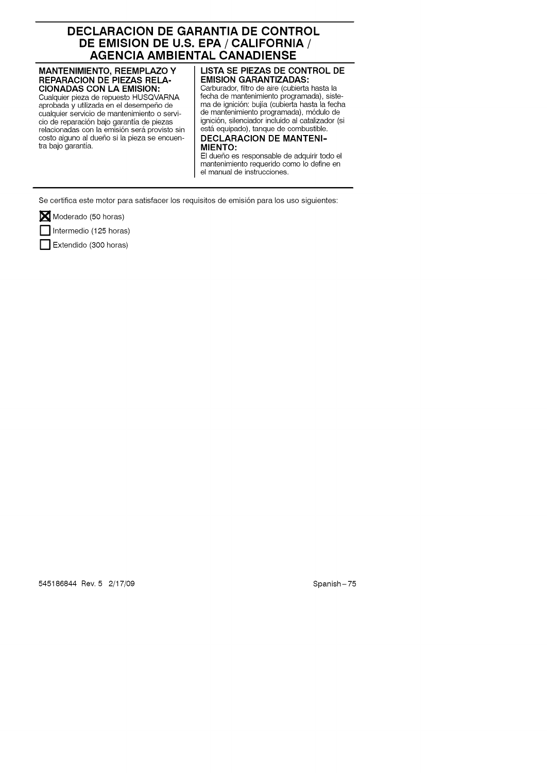### **DECLARACION DE GARANTIA DE CONTROL DE EMISION DE U.S. EPA/CALIFORNIA/ AGENCIA AMBIENTAL CANADIENSE**

#### **MANTENIMIENTO,** REEMPLAZO **Y REPARACION** DE PIEZAS RELA-**CIONADAS CON LA EMISION:**

Cualquier pieza de repuesto HUSQVARNA aprobada y utilizada en el desempeño de cualquier servicio de mantenimiento o servicio de reparación bajo garantía de piezas relacionadas con la emisión será provisto sin costo alguno al dueho si la pieza se encuentra bajo garantia.

#### **LISTA SE PIEZAS DE CONTROL DE EMISION GARANTIZADAS:**

Carburador, filtro de aire (cubierta hasta la fecha de mantenimiento programada), sistema de ignici6n: bujia (cubierta hasta la fecha de mantenimiento programada), m6dulo de ignici6n, silenciador incluido al catalizador (si está equipado), tanque de combustible.

#### **DECLARACION DE MANTENI-MIENTO:**

El dueño es responsable de adquirir todo el mantenimiento requerido como Io define en el manual de instrucciones.

Se certifica este motor para satisfacer los requisitos de emisión para los uso siguientes:

Moderado (50 horas)

Intermedio (125 horas)

Extendido (300 horas)